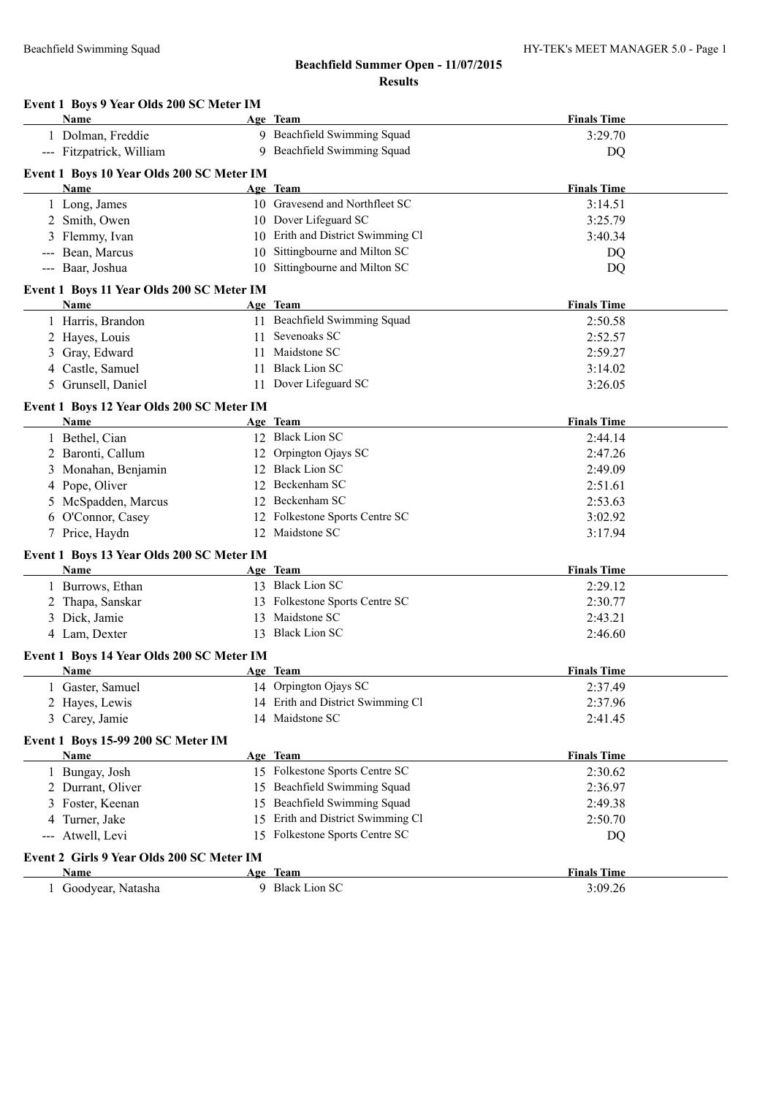#### **Event 1 Boys 9 Year Olds 200 SC Meter IM**

| Name                                                     | Age Team                          | <b>Finals Time</b> |
|----------------------------------------------------------|-----------------------------------|--------------------|
| 1 Dolman, Freddie                                        | 9 Beachfield Swimming Squad       | 3:29.70            |
| --- Fitzpatrick, William                                 | 9 Beachfield Swimming Squad       | DQ                 |
|                                                          |                                   |                    |
| Event 1 Boys 10 Year Olds 200 SC Meter IM<br><b>Name</b> | Age Team                          | <b>Finals Time</b> |
| 1 Long, James                                            | 10 Gravesend and Northfleet SC    | 3:14.51            |
| 2 Smith, Owen                                            | 10 Dover Lifeguard SC             | 3:25.79            |
| 3 Flemmy, Ivan                                           | 10 Erith and District Swimming Cl | 3:40.34            |
| --- Bean, Marcus                                         | 10 Sittingbourne and Milton SC    |                    |
| --- Baar, Joshua                                         | 10 Sittingbourne and Milton SC    | DQ<br>DQ           |
|                                                          |                                   |                    |
| Event 1 Boys 11 Year Olds 200 SC Meter IM                |                                   |                    |
| Name                                                     | Age Team                          | <b>Finals Time</b> |
| 1 Harris, Brandon                                        | 11 Beachfield Swimming Squad      | 2:50.58            |
| 2 Hayes, Louis                                           | 11 Sevenoaks SC                   | 2:52.57            |
| Gray, Edward                                             | 11 Maidstone SC                   | 2:59.27            |
| 4 Castle, Samuel                                         | 11 Black Lion SC                  | 3:14.02            |
| 5 Grunsell, Daniel                                       | 11 Dover Lifeguard SC             | 3:26.05            |
| Event 1 Boys 12 Year Olds 200 SC Meter IM                |                                   |                    |
| Name                                                     | Age Team                          | <b>Finals Time</b> |
| 1 Bethel, Cian                                           | 12 Black Lion SC                  | 2:44.14            |
| 2 Baronti, Callum                                        | 12 Orpington Ojays SC             | 2:47.26            |
| Monahan, Benjamin                                        | 12 Black Lion SC                  | 2:49.09            |
| 4 Pope, Oliver                                           | 12 Beckenham SC                   | 2:51.61            |
| McSpadden, Marcus                                        | 12 Beckenham SC                   | 2:53.63            |
| 6 O'Connor, Casey                                        | 12 Folkestone Sports Centre SC    | 3:02.92            |
| 7 Price, Haydn                                           | 12 Maidstone SC                   | 3:17.94            |
| Event 1 Boys 13 Year Olds 200 SC Meter IM                |                                   |                    |
| <b>Name</b>                                              | Age Team                          | <b>Finals Time</b> |
| 1 Burrows, Ethan                                         | 13 Black Lion SC                  | 2:29.12            |
| 2 Thapa, Sanskar                                         | 13 Folkestone Sports Centre SC    | 2:30.77            |
| 3 Dick, Jamie                                            | 13 Maidstone SC                   | 2:43.21            |
| 4 Lam, Dexter                                            | 13 Black Lion SC                  | 2:46.60            |
|                                                          |                                   |                    |
| Event 1 Boys 14 Year Olds 200 SC Meter IM                | Age Team                          | <b>Finals Time</b> |
| Name<br>1 Gaster, Samuel                                 | 14 Orpington Ojays SC             | 2:37.49            |
| 2 Hayes, Lewis                                           | 14 Erith and District Swimming Cl | 2:37.96            |
| 3 Carey, Jamie                                           | 14 Maidstone SC                   | 2:41.45            |
|                                                          |                                   |                    |
| Event 1 Boys 15-99 200 SC Meter IM                       |                                   |                    |
| Name                                                     | Age Team                          | <b>Finals Time</b> |
| 1 Bungay, Josh                                           | 15 Folkestone Sports Centre SC    | 2:30.62            |
| 2 Durrant, Oliver                                        | 15 Beachfield Swimming Squad      | 2:36.97            |
| 3 Foster, Keenan                                         | 15 Beachfield Swimming Squad      | 2:49.38            |
| Turner, Jake<br>4                                        | 15 Erith and District Swimming Cl | 2:50.70            |
| --- Atwell, Levi                                         | 15 Folkestone Sports Centre SC    | DQ                 |
| Event 2 Girls 9 Year Olds 200 SC Meter IM                |                                   |                    |
| Name                                                     | Age Team                          | <b>Finals Time</b> |
| 1 Goodyear, Natasha                                      | 9 Black Lion SC                   | 3:09.26            |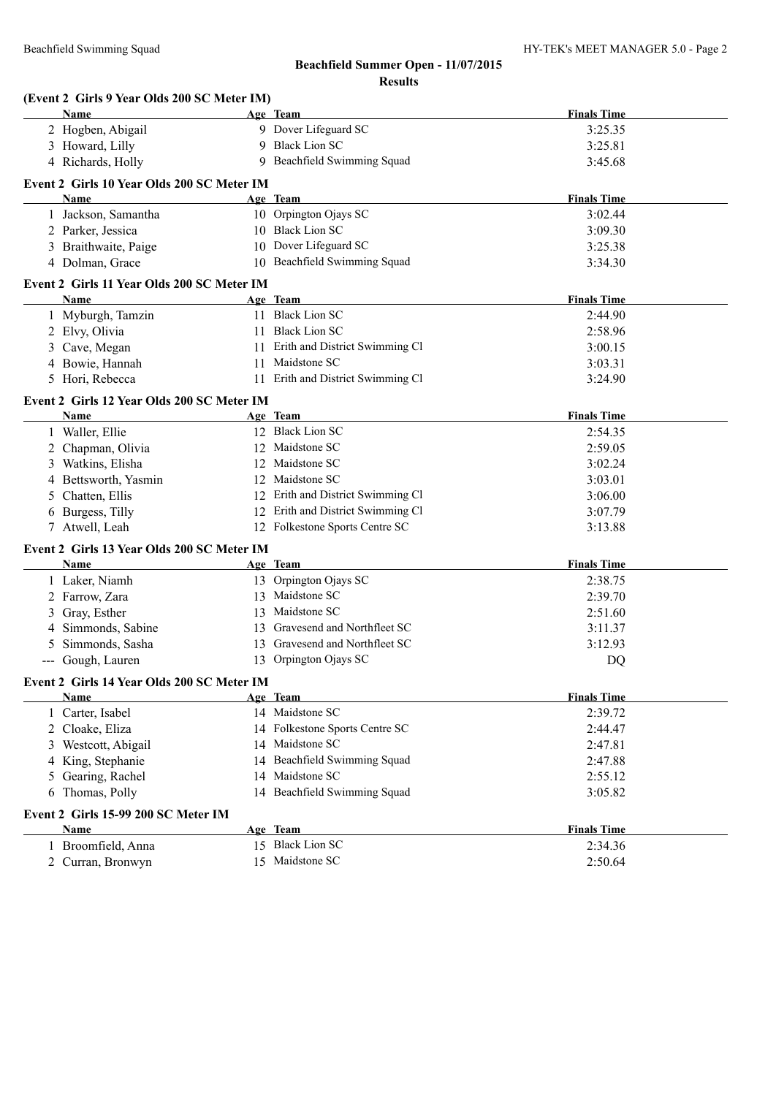| (Event 2 Girls 9 Year Olds 200 SC Meter IM) |    |                                   |                    |
|---------------------------------------------|----|-----------------------------------|--------------------|
| Name                                        |    | Age Team                          | <b>Finals Time</b> |
| 2 Hogben, Abigail                           |    | 9 Dover Lifeguard SC              | 3:25.35            |
| 3 Howard, Lilly                             |    | 9 Black Lion SC                   | 3:25.81            |
| 4 Richards, Holly                           |    | 9 Beachfield Swimming Squad       | 3:45.68            |
| Event 2 Girls 10 Year Olds 200 SC Meter IM  |    |                                   |                    |
| <b>Name</b>                                 |    | Age Team                          | <b>Finals Time</b> |
| 1 Jackson, Samantha                         |    | 10 Orpington Ojays SC             | 3:02.44            |
| 2 Parker, Jessica                           |    | 10 Black Lion SC                  | 3:09.30            |
| 3 Braithwaite, Paige                        |    | 10 Dover Lifeguard SC             | 3:25.38            |
| 4 Dolman, Grace                             |    | 10 Beachfield Swimming Squad      | 3:34.30            |
| Event 2 Girls 11 Year Olds 200 SC Meter IM  |    |                                   |                    |
| Name                                        |    | Age Team                          | <b>Finals Time</b> |
| 1 Myburgh, Tamzin                           |    | 11 Black Lion SC                  | 2:44.90            |
| 2 Elvy, Olivia                              |    | 11 Black Lion SC                  | 2:58.96            |
| 3 Cave, Megan                               | 11 | Erith and District Swimming Cl    | 3:00.15            |
| 4 Bowie, Hannah                             | 11 | Maidstone SC                      | 3:03.31            |
| 5 Hori, Rebecca                             |    | 11 Erith and District Swimming Cl | 3:24.90            |
| Event 2 Girls 12 Year Olds 200 SC Meter IM  |    |                                   |                    |
| Name                                        |    | Age Team                          | <b>Finals Time</b> |
| 1 Waller, Ellie                             |    | 12 Black Lion SC                  | 2:54.35            |
| 2 Chapman, Olivia                           |    | 12 Maidstone SC                   | 2:59.05            |
| 3 Watkins, Elisha                           |    | 12 Maidstone SC                   | 3:02.24            |
| 4 Bettsworth, Yasmin                        |    | 12 Maidstone SC                   | 3:03.01            |
| 5 Chatten, Ellis                            |    | 12 Erith and District Swimming Cl | 3:06.00            |
| 6 Burgess, Tilly                            |    | 12 Erith and District Swimming Cl | 3:07.79            |
| 7 Atwell, Leah                              |    | 12 Folkestone Sports Centre SC    | 3:13.88            |
| Event 2 Girls 13 Year Olds 200 SC Meter IM  |    |                                   |                    |
| Name                                        |    | Age Team                          | <b>Finals Time</b> |
| 1 Laker, Niamh                              |    | 13 Orpington Ojays SC             | 2:38.75            |
| 2 Farrow, Zara                              | 13 | Maidstone SC                      | 2:39.70            |
| Gray, Esther                                | 13 | Maidstone SC                      | 2:51.60            |
| 4 Simmonds, Sabine                          | 13 | Gravesend and Northfleet SC       | 3:11.37            |
| Simmonds, Sasha                             |    | 13 Gravesend and Northfleet SC    | 3:12.93            |
| --- Gough, Lauren                           |    | 13 Orpington Ojays SC             | DQ                 |
| Event 2 Girls 14 Year Olds 200 SC Meter IM  |    |                                   |                    |
| <b>Name</b>                                 |    | Age Team                          | <b>Finals Time</b> |
| 1 Carter, Isabel                            |    | 14 Maidstone SC                   | 2:39.72            |
| 2 Cloake, Eliza                             |    | 14 Folkestone Sports Centre SC    | 2:44.47            |
| 3 Westcott, Abigail                         |    | 14 Maidstone SC                   | 2:47.81            |
| 4 King, Stephanie                           |    | 14 Beachfield Swimming Squad      | 2:47.88            |
| Gearing, Rachel<br>5                        | 14 | Maidstone SC                      | 2:55.12            |
| 6 Thomas, Polly                             |    | 14 Beachfield Swimming Squad      | 3:05.82            |
| Event 2 Girls 15-99 200 SC Meter IM         |    |                                   |                    |
| Name                                        |    | Age Team                          | <b>Finals Time</b> |
| 1 Broomfield, Anna                          |    | 15 Black Lion SC                  | 2:34.36            |
| 2 Curran, Bronwyn                           |    | 15 Maidstone SC                   | 2:50.64            |
|                                             |    |                                   |                    |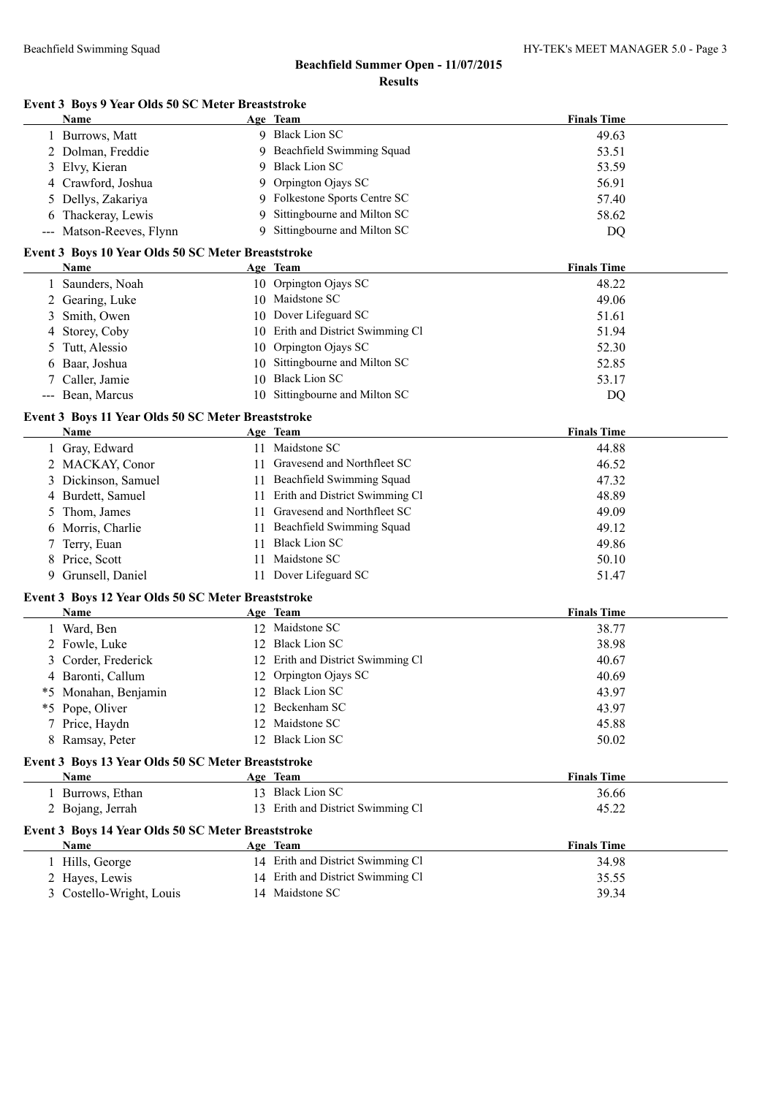|  |  |  |  | Event 3 Boys 9 Year Olds 50 SC Meter Breaststroke |
|--|--|--|--|---------------------------------------------------|
|--|--|--|--|---------------------------------------------------|

|                      | Name                                               |    | Age Team                          | <b>Finals Time</b> |
|----------------------|----------------------------------------------------|----|-----------------------------------|--------------------|
|                      | 1 Burrows, Matt                                    |    | 9 Black Lion SC                   | 49.63              |
|                      | 2 Dolman, Freddie                                  | 9  | Beachfield Swimming Squad         | 53.51              |
| 3                    | Elvy, Kieran                                       | 9  | <b>Black Lion SC</b>              | 53.59              |
|                      | 4 Crawford, Joshua                                 | 9  | Orpington Ojays SC                | 56.91              |
| 5                    | Dellys, Zakariya                                   | 9. | Folkestone Sports Centre SC       | 57.40              |
| 6                    | Thackeray, Lewis                                   | 9  | Sittingbourne and Milton SC       | 58.62              |
|                      | --- Matson-Reeves, Flynn                           | 9  | Sittingbourne and Milton SC       | DQ                 |
|                      | Event 3 Boys 10 Year Olds 50 SC Meter Breaststroke |    |                                   |                    |
|                      | Name                                               |    | Age Team                          | <b>Finals Time</b> |
|                      | 1 Saunders, Noah                                   |    | 10 Orpington Ojays SC             | 48.22              |
|                      | 2 Gearing, Luke                                    |    | 10 Maidstone SC                   | 49.06              |
| 3                    | Smith, Owen                                        |    | 10 Dover Lifeguard SC             | 51.61              |
| 4                    | Storey, Coby                                       |    | 10 Erith and District Swimming Cl | 51.94              |
| 5                    | Tutt, Alessio                                      |    | 10 Orpington Ojays SC             | 52.30              |
| 6                    | Baar, Joshua                                       | 10 | Sittingbourne and Milton SC       | 52.85              |
|                      | Caller, Jamie                                      |    | 10 Black Lion SC                  | 53.17              |
| $\scriptstyle\cdots$ | Bean, Marcus                                       |    | 10 Sittingbourne and Milton SC    | DQ                 |
|                      | Event 3 Boys 11 Year Olds 50 SC Meter Breaststroke |    |                                   |                    |
|                      | Name                                               |    | Age Team                          | <b>Finals Time</b> |
|                      | 1 Gray, Edward                                     |    | 11 Maidstone SC                   | 44.88              |
|                      | 2 MACKAY, Conor                                    |    | 11 Gravesend and Northfleet SC    | 46.52              |
|                      | 3 Dickinson, Samuel                                |    | 11 Beachfield Swimming Squad      | 47.32              |
|                      | 4 Burdett, Samuel                                  |    | 11 Erith and District Swimming Cl | 48.89              |
| 5                    | Thom, James                                        |    | 11 Gravesend and Northfleet SC    | 49.09              |
| 6                    | Morris, Charlie                                    |    | 11 Beachfield Swimming Squad      | 49.12              |
| 7                    | Terry, Euan                                        |    | 11 Black Lion SC                  | 49.86              |
| 8                    | Price, Scott                                       |    | 11 Maidstone SC                   | 50.10              |
| 9                    | Grunsell, Daniel                                   |    | 11 Dover Lifeguard SC             | 51.47              |
|                      | Event 3 Boys 12 Year Olds 50 SC Meter Breaststroke |    |                                   |                    |
|                      | Name                                               |    | Age Team                          | <b>Finals Time</b> |
|                      | 1 Ward, Ben                                        |    | 12 Maidstone SC                   | 38.77              |
|                      | 2 Fowle, Luke                                      |    | 12 Black Lion SC                  | 38.98              |
| 3                    | Corder, Frederick                                  |    | 12 Erith and District Swimming Cl | 40.67              |
|                      | 4 Baronti, Callum                                  |    | 12 Orpington Ojays SC             | 40.69              |
|                      | *5 Monahan, Benjamin                               |    | 12 Black Lion SC                  | 43.97              |
|                      | *5 Pope, Oliver                                    |    | 12 Beckenham SC                   | 43.97              |
|                      | 7 Price, Haydn                                     |    | 12 Maidstone SC                   | 45.88              |
|                      | 8 Ramsay, Peter                                    |    | 12 Black Lion SC                  | 50.02              |
|                      | Event 3 Boys 13 Year Olds 50 SC Meter Breaststroke |    |                                   |                    |
|                      | Name                                               |    | Age Team                          | <b>Finals Time</b> |
|                      | 1 Burrows, Ethan                                   |    | 13 Black Lion SC                  | 36.66              |
|                      | 2 Bojang, Jerrah                                   |    | 13 Erith and District Swimming Cl | 45.22              |
|                      | Event 3 Boys 14 Year Olds 50 SC Meter Breaststroke |    |                                   |                    |
|                      | Name                                               |    | Age Team                          | <b>Finals Time</b> |
|                      | 1 Hills, George                                    |    | 14 Erith and District Swimming Cl | 34.98              |
|                      | 2 Hayes, Lewis                                     |    | 14 Erith and District Swimming Cl | 35.55              |
|                      | 3 Costello-Wright, Louis                           |    | 14 Maidstone SC                   | 39.34              |
|                      |                                                    |    |                                   |                    |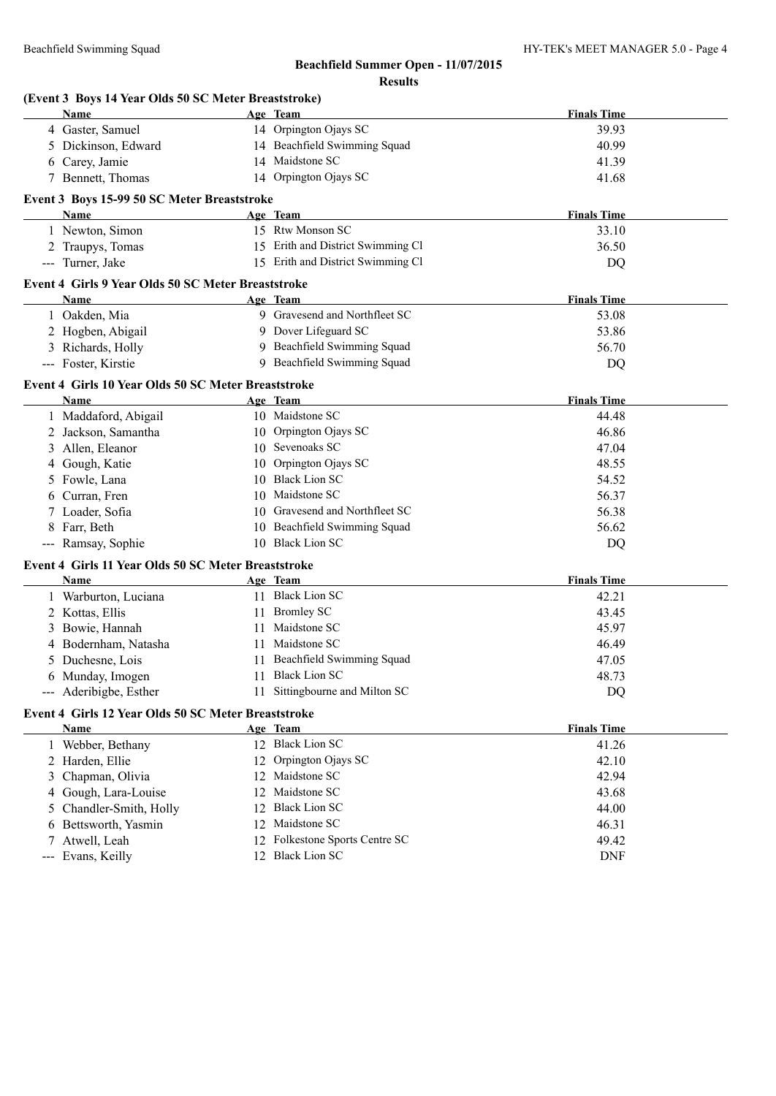|   | (Event 3 Boys 14 Year Olds 50 SC Meter Breaststroke) |    |                                   |                    |
|---|------------------------------------------------------|----|-----------------------------------|--------------------|
|   | Name                                                 |    | Age Team                          | <b>Finals Time</b> |
|   | 4 Gaster, Samuel                                     |    | 14 Orpington Ojays SC             | 39.93              |
|   | 5 Dickinson, Edward                                  |    | 14 Beachfield Swimming Squad      | 40.99              |
|   | 6 Carey, Jamie                                       |    | 14 Maidstone SC                   | 41.39              |
|   | 7 Bennett, Thomas                                    |    | 14 Orpington Ojays SC             | 41.68              |
|   | Event 3 Boys 15-99 50 SC Meter Breaststroke          |    |                                   |                    |
|   | Name                                                 |    | Age Team                          | <b>Finals Time</b> |
|   | 1 Newton, Simon                                      |    | 15 Rtw Monson SC                  | 33.10              |
|   | 2 Traupys, Tomas                                     |    | 15 Erith and District Swimming Cl | 36.50              |
|   | --- Turner, Jake                                     |    | 15 Erith and District Swimming Cl | DQ                 |
|   | Event 4 Girls 9 Year Olds 50 SC Meter Breaststroke   |    |                                   |                    |
|   | <b>Name</b>                                          |    | Age Team                          | <b>Finals Time</b> |
|   | 1 Oakden, Mia                                        |    | 9 Gravesend and Northfleet SC     | 53.08              |
|   | 2 Hogben, Abigail                                    |    | 9 Dover Lifeguard SC              | 53.86              |
|   | 3 Richards, Holly                                    |    | 9 Beachfield Swimming Squad       | 56.70              |
|   | --- Foster, Kirstie                                  |    | 9 Beachfield Swimming Squad       | DQ                 |
|   | Event 4 Girls 10 Year Olds 50 SC Meter Breaststroke  |    |                                   |                    |
|   | Name                                                 |    | Age Team                          | <b>Finals Time</b> |
|   | 1 Maddaford, Abigail                                 |    | 10 Maidstone SC                   | 44.48              |
|   | 2 Jackson, Samantha                                  |    | 10 Orpington Ojays SC             | 46.86              |
| 3 | Allen, Eleanor                                       |    | 10 Sevenoaks SC                   | 47.04              |
| 4 | Gough, Katie                                         |    | 10 Orpington Ojays SC             | 48.55              |
|   | 5 Fowle, Lana                                        |    | 10 Black Lion SC                  | 54.52              |
|   | 6 Curran, Fren                                       |    | 10 Maidstone SC                   | 56.37              |
|   | 7 Loader, Sofia                                      |    | 10 Gravesend and Northfleet SC    | 56.38              |
| 8 | Farr, Beth                                           |    | 10 Beachfield Swimming Squad      | 56.62              |
|   | --- Ramsay, Sophie                                   |    | 10 Black Lion SC                  | DQ                 |
|   | Event 4 Girls 11 Year Olds 50 SC Meter Breaststroke  |    |                                   |                    |
|   | Name                                                 |    | Age Team                          | <b>Finals Time</b> |
|   | 1 Warburton, Luciana                                 |    | 11 Black Lion SC                  | 42.21              |
|   | 2 Kottas, Ellis                                      |    | 11 Bromley SC                     | 43.45              |
|   | 3 Bowie, Hannah                                      |    | 11 Maidstone SC                   | 45.97              |
|   | 4 Bodernham, Natasha                                 |    | 11 Maidstone SC                   | 46.49              |
|   | 5 Duchesne, Lois                                     |    | 11 Beachfield Swimming Squad      | 47.05              |
|   | 6 Munday, Imogen                                     |    | 11 Black Lion SC                  | 48.73              |
|   | --- Aderibigbe, Esther                               |    | 11 Sittingbourne and Milton SC    | <b>DQ</b>          |
|   | Event 4 Girls 12 Year Olds 50 SC Meter Breaststroke  |    |                                   |                    |
|   | Name                                                 |    | Age Team                          | <b>Finals Time</b> |
|   | 1 Webber, Bethany                                    |    | 12 Black Lion SC                  | 41.26              |
|   | 2 Harden, Ellie                                      | 12 | Orpington Ojays SC                | 42.10              |
| 3 | Chapman, Olivia                                      |    | 12 Maidstone SC                   | 42.94              |
| 4 | Gough, Lara-Louise                                   |    | 12 Maidstone SC                   | 43.68              |
| 5 | Chandler-Smith, Holly                                |    | 12 Black Lion SC                  | 44.00              |
| 6 | Bettsworth, Yasmin                                   |    | 12 Maidstone SC                   | 46.31              |
|   | 7 Atwell, Leah                                       |    | 12 Folkestone Sports Centre SC    | 49.42              |
|   | --- Evans, Keilly                                    |    | 12 Black Lion SC                  | <b>DNF</b>         |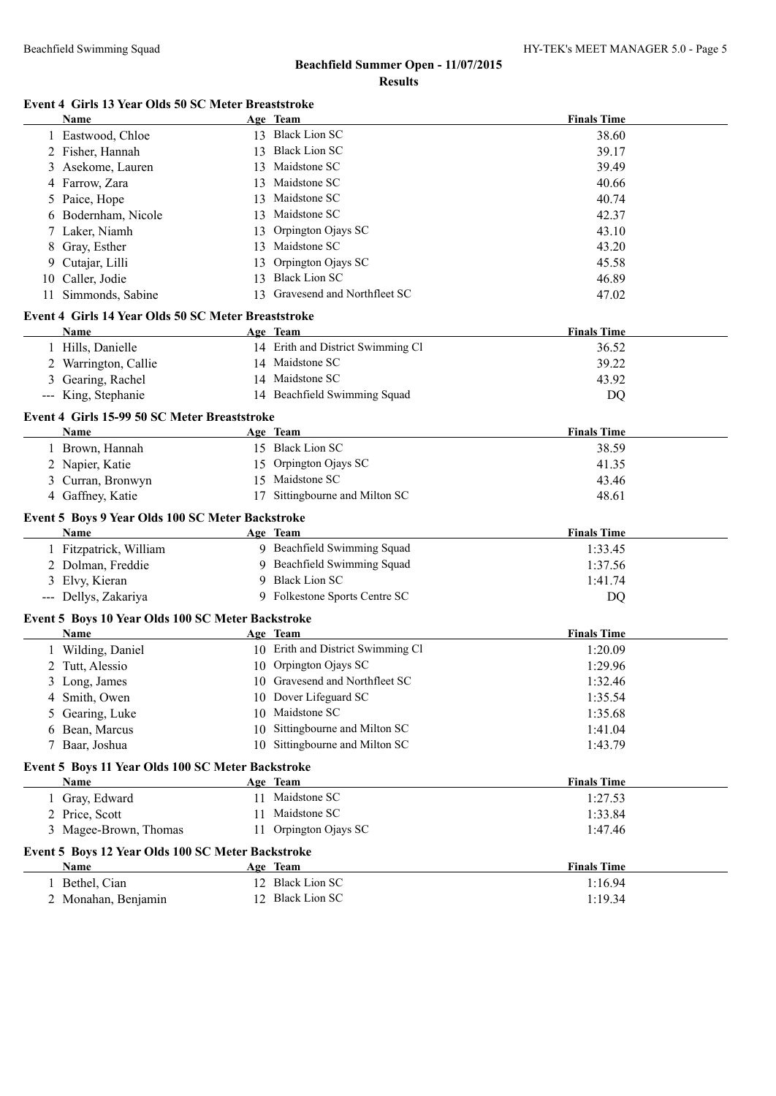#### **Event 4 Girls 13 Year Olds 50 SC Meter Breaststroke**

|   | Name                                                |    | Age Team                          | <b>Finals Time</b> |
|---|-----------------------------------------------------|----|-----------------------------------|--------------------|
|   | 1 Eastwood, Chloe                                   |    | 13 Black Lion SC                  | 38.60              |
|   | 2 Fisher, Hannah                                    |    | 13 Black Lion SC                  | 39.17              |
| 3 | Asekome, Lauren                                     |    | 13 Maidstone SC                   | 39.49              |
|   | 4 Farrow, Zara                                      |    | 13 Maidstone SC                   | 40.66              |
| 5 | Paice, Hope                                         | 13 | Maidstone SC                      | 40.74              |
| 6 | Bodernham, Nicole                                   | 13 | Maidstone SC                      | 42.37              |
| 7 | Laker, Niamh                                        | 13 | Orpington Ojays SC                | 43.10              |
| 8 | Gray, Esther                                        |    | 13 Maidstone SC                   | 43.20              |
| 9 | Cutajar, Lilli                                      | 13 | Orpington Ojays SC                | 45.58              |
|   | 10 Caller, Jodie                                    | 13 | <b>Black Lion SC</b>              | 46.89              |
|   | 11 Simmonds, Sabine                                 |    | 13 Gravesend and Northfleet SC    | 47.02              |
|   | Event 4 Girls 14 Year Olds 50 SC Meter Breaststroke |    |                                   |                    |
|   | Name                                                |    | Age Team                          | <b>Finals Time</b> |
|   | 1 Hills, Danielle                                   |    | 14 Erith and District Swimming Cl | 36.52              |
|   | 2 Warrington, Callie                                |    | 14 Maidstone SC                   | 39.22              |
| 3 | Gearing, Rachel                                     |    | 14 Maidstone SC                   | 43.92              |
|   | --- King, Stephanie                                 |    | 14 Beachfield Swimming Squad      | DQ                 |
|   | Event 4 Girls 15-99 50 SC Meter Breaststroke        |    |                                   |                    |
|   | Name                                                |    | Age Team                          | <b>Finals Time</b> |
|   | 1 Brown, Hannah                                     |    | 15 Black Lion SC                  | 38.59              |
|   | 2 Napier, Katie                                     |    | 15 Orpington Ojays SC             | 41.35              |
|   | 3 Curran, Bronwyn                                   |    | 15 Maidstone SC                   | 43.46              |
|   | 4 Gaffney, Katie                                    |    | 17 Sittingbourne and Milton SC    | 48.61              |
|   | Event 5 Boys 9 Year Olds 100 SC Meter Backstroke    |    |                                   |                    |
|   | <b>Name</b>                                         |    | Age Team                          | <b>Finals Time</b> |
|   | 1 Fitzpatrick, William                              |    | 9 Beachfield Swimming Squad       | 1:33.45            |
|   | 2 Dolman, Freddie                                   |    | 9 Beachfield Swimming Squad       | 1:37.56            |
|   | 3 Elvy, Kieran                                      | 9  | <b>Black Lion SC</b>              | 1:41.74            |
|   | --- Dellys, Zakariya                                |    | 9 Folkestone Sports Centre SC     | DQ                 |
|   | Event 5 Boys 10 Year Olds 100 SC Meter Backstroke   |    |                                   |                    |
|   | Name                                                |    | Age Team                          | <b>Finals Time</b> |
|   | 1 Wilding, Daniel                                   |    | 10 Erith and District Swimming Cl | 1:20.09            |
|   | 2 Tutt, Alessio                                     |    | 10 Orpington Ojays SC             | 1:29.96            |
|   | 3 Long, James                                       |    | 10 Gravesend and Northfleet SC    | 1:32.46            |
| 4 | Smith, Owen                                         |    | 10 Dover Lifeguard SC             | 1:35.54            |
| 5 | Gearing, Luke                                       |    | 10 Maidstone SC                   | 1:35.68            |
| 6 | Bean, Marcus                                        | 10 | Sittingbourne and Milton SC       | 1:41.04            |
|   | 7 Baar, Joshua                                      |    | 10 Sittingbourne and Milton SC    | 1:43.79            |
|   | Event 5 Boys 11 Year Olds 100 SC Meter Backstroke   |    |                                   |                    |
|   | Name                                                |    | Age Team                          | <b>Finals Time</b> |
|   | 1 Gray, Edward                                      |    | 11 Maidstone SC                   | 1:27.53            |
|   | 2 Price, Scott                                      | 11 | Maidstone SC                      | 1:33.84            |
|   | 3 Magee-Brown, Thomas                               |    | 11 Orpington Ojays SC             | 1:47.46            |
|   | Event 5 Boys 12 Year Olds 100 SC Meter Backstroke   |    |                                   |                    |
|   | Name                                                |    | Age Team                          | <b>Finals Time</b> |
| 1 | Bethel, Cian                                        |    | 12 Black Lion SC                  | 1:16.94            |
|   | 2 Monahan, Benjamin                                 |    | 12 Black Lion SC                  | 1:19.34            |
|   |                                                     |    |                                   |                    |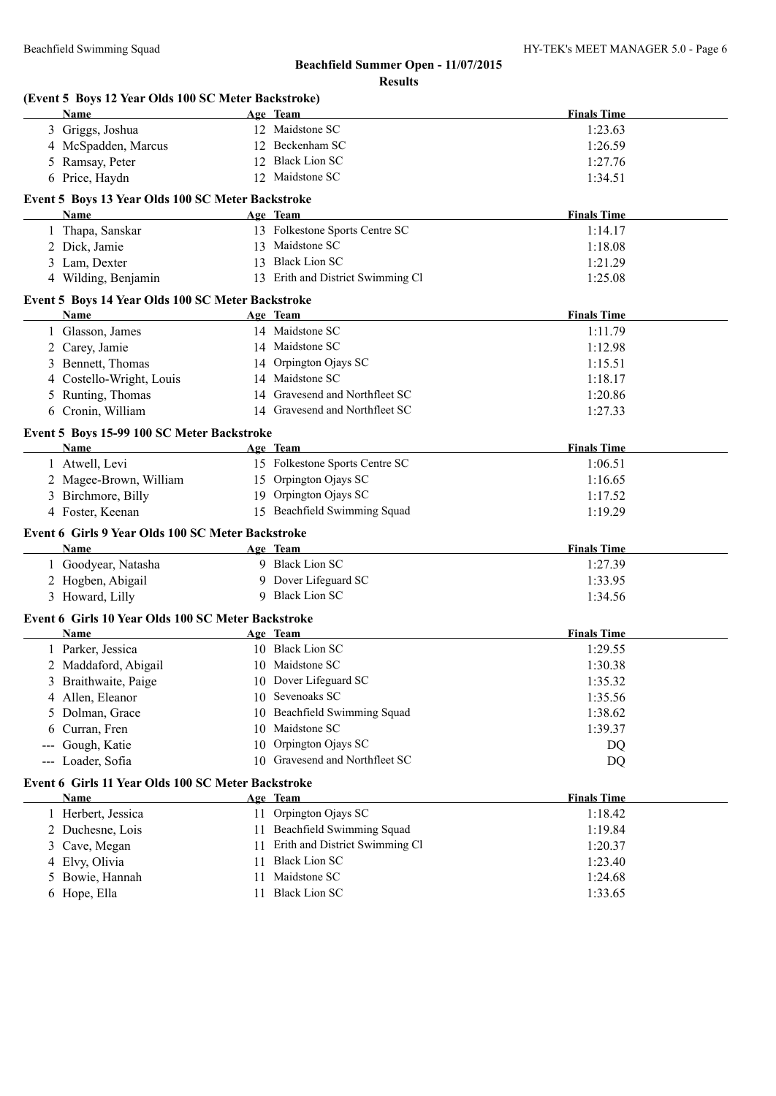|     | Name                                               |    | Age Team                          | <b>Finals Time</b> |
|-----|----------------------------------------------------|----|-----------------------------------|--------------------|
|     | 3 Griggs, Joshua                                   |    | 12 Maidstone SC                   | 1:23.63            |
|     | 4 McSpadden, Marcus                                |    | 12 Beckenham SC                   | 1:26.59            |
|     | 5 Ramsay, Peter                                    |    | 12 Black Lion SC                  | 1:27.76            |
|     | 6 Price, Haydn                                     |    | 12 Maidstone SC                   | 1:34.51            |
|     | Event 5 Boys 13 Year Olds 100 SC Meter Backstroke  |    |                                   |                    |
|     | Name                                               |    | Age Team                          | <b>Finals Time</b> |
|     | 1 Thapa, Sanskar                                   |    | 13 Folkestone Sports Centre SC    | 1:14.17            |
|     | 2 Dick, Jamie                                      |    | 13 Maidstone SC                   | 1:18.08            |
|     | 3 Lam, Dexter                                      |    | 13 Black Lion SC                  | 1:21.29            |
|     | 4 Wilding, Benjamin                                |    | 13 Erith and District Swimming Cl | 1:25.08            |
|     | Event 5 Boys 14 Year Olds 100 SC Meter Backstroke  |    |                                   |                    |
|     | Name                                               |    | Age Team                          | <b>Finals Time</b> |
|     | 1 Glasson, James                                   |    | 14 Maidstone SC                   | 1:11.79            |
|     | 2 Carey, Jamie                                     |    | 14 Maidstone SC                   | 1:12.98            |
| 3   | Bennett, Thomas                                    |    | 14 Orpington Ojays SC             | 1:15.51            |
| 4   | Costello-Wright, Louis                             |    | 14 Maidstone SC                   | 1:18.17            |
| 5   | Runting, Thomas                                    |    | 14 Gravesend and Northfleet SC    | 1:20.86            |
|     | 6 Cronin, William                                  |    | 14 Gravesend and Northfleet SC    | 1:27.33            |
|     | Event 5 Boys 15-99 100 SC Meter Backstroke         |    |                                   |                    |
|     | <b>Name</b>                                        |    | Age Team                          | <b>Finals Time</b> |
|     | 1 Atwell, Levi                                     |    | 15 Folkestone Sports Centre SC    | 1:06.51            |
|     | 2 Magee-Brown, William                             |    | 15 Orpington Ojays SC             | 1:16.65            |
|     | 3 Birchmore, Billy                                 |    | 19 Orpington Ojays SC             | 1:17.52            |
|     | 4 Foster, Keenan                                   |    | 15 Beachfield Swimming Squad      | 1:19.29            |
|     | Event 6 Girls 9 Year Olds 100 SC Meter Backstroke  |    |                                   |                    |
|     | Name                                               |    | Age Team                          | <b>Finals Time</b> |
|     | 1 Goodyear, Natasha                                |    | 9 Black Lion SC                   | 1:27.39            |
|     | 2 Hogben, Abigail                                  |    | 9 Dover Lifeguard SC              | 1:33.95            |
|     | 3 Howard, Lilly                                    |    | 9 Black Lion SC                   | 1:34.56            |
|     | Event 6 Girls 10 Year Olds 100 SC Meter Backstroke |    |                                   |                    |
|     | Name                                               |    | Age Team                          | <b>Finals Time</b> |
|     | 1 Parker, Jessica                                  |    | 10 Black Lion SC                  | 1:29.55            |
|     | 2 Maddaford, Abigail                               |    | 10 Maidstone SC                   | 1:30.38            |
|     | 3 Braithwaite, Paige                               |    | 10 Dover Lifeguard SC             | 1:35.32            |
| 4   | Allen, Eleanor                                     |    | 10 Sevenoaks SC                   | 1:35.56            |
| 5   | Dolman, Grace                                      | 10 | Beachfield Swimming Squad         | 1:38.62            |
| 6   | Curran, Fren                                       | 10 | Maidstone SC                      | 1:39.37            |
|     | Gough, Katie                                       | 10 | Orpington Ojays SC                | DQ                 |
| --- | Loader, Sofia                                      |    | 10 Gravesend and Northfleet SC    | DQ                 |
|     | Event 6 Girls 11 Year Olds 100 SC Meter Backstroke |    |                                   |                    |
|     | Name                                               |    | Age Team                          | <b>Finals Time</b> |
|     | 1 Herbert, Jessica                                 | 11 | Orpington Ojays SC                | 1:18.42            |
| 2   | Duchesne, Lois                                     | 11 | Beachfield Swimming Squad         | 1:19.84            |
| 3   | Cave, Megan                                        | 11 | Erith and District Swimming Cl    | 1:20.37            |
| 4   | Elvy, Olivia                                       | 11 | <b>Black Lion SC</b>              | 1:23.40            |
|     |                                                    |    |                                   |                    |
| 5   | Bowie, Hannah                                      | 11 | Maidstone SC                      | 1:24.68            |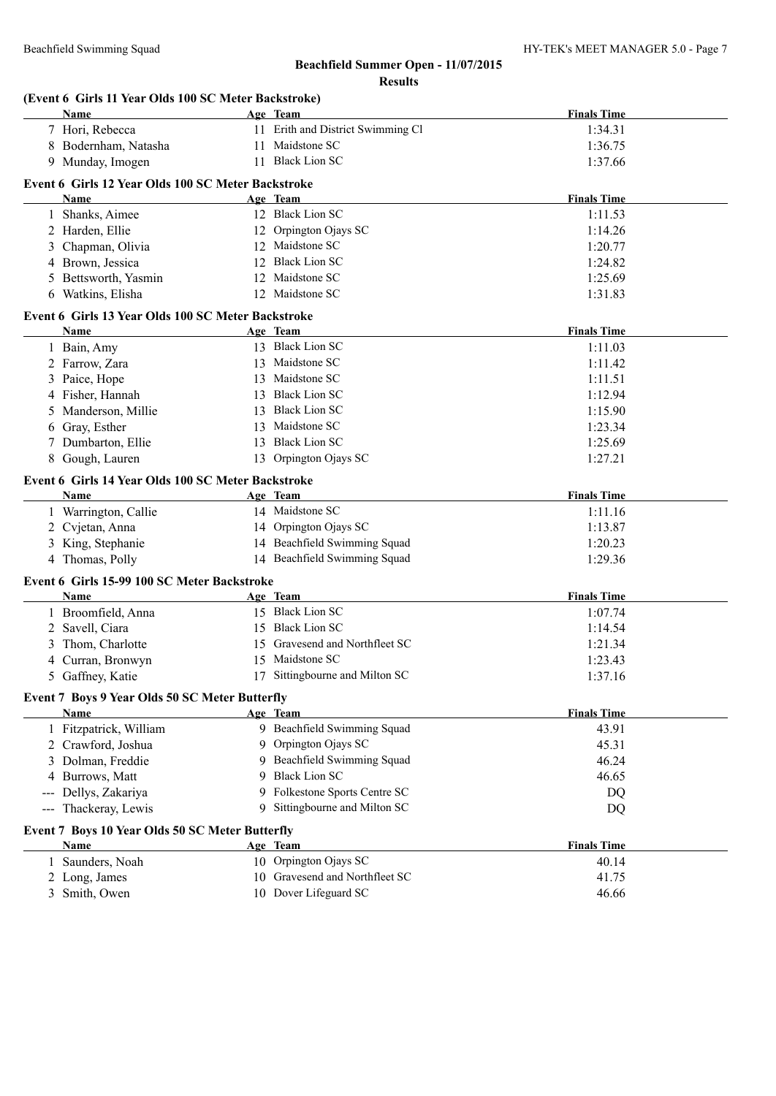|                        | (Event 6 Girls 11 Year Olds 100 SC Meter Backstroke)<br>Name |    | Age Team                                 | <b>Finals Time</b> |
|------------------------|--------------------------------------------------------------|----|------------------------------------------|--------------------|
|                        | 7 Hori, Rebecca                                              |    | 11 Erith and District Swimming Cl        | 1:34.31            |
|                        | 8 Bodernham, Natasha                                         |    | 11 Maidstone SC                          | 1:36.75            |
|                        | 9 Munday, Imogen                                             |    | 11 Black Lion SC                         | 1:37.66            |
|                        |                                                              |    |                                          |                    |
|                        | Event 6 Girls 12 Year Olds 100 SC Meter Backstroke           |    |                                          | <b>Finals Time</b> |
|                        | Name                                                         |    | Age Team<br>12 Black Lion SC             | 1:11.53            |
|                        | 1 Shanks, Aimee                                              |    |                                          |                    |
|                        | 2 Harden, Ellie                                              |    | 12 Orpington Ojays SC<br>12 Maidstone SC | 1:14.26            |
|                        | 3 Chapman, Olivia                                            |    | 12 Black Lion SC                         | 1:20.77            |
|                        | 4 Brown, Jessica                                             |    | 12 Maidstone SC                          | 1:24.82            |
|                        | 5 Bettsworth, Yasmin                                         |    | 12 Maidstone SC                          | 1:25.69            |
|                        | 6 Watkins, Elisha                                            |    |                                          | 1:31.83            |
|                        | Event 6 Girls 13 Year Olds 100 SC Meter Backstroke           |    |                                          |                    |
|                        | Name                                                         |    | Age Team                                 | <b>Finals Time</b> |
|                        | 1 Bain, Amy                                                  |    | 13 Black Lion SC                         | 1:11.03            |
|                        | 2 Farrow, Zara                                               |    | 13 Maidstone SC                          | 1:11.42            |
|                        | 3 Paice, Hope                                                |    | 13 Maidstone SC                          | 1:11.51            |
|                        | 4 Fisher, Hannah                                             |    | 13 Black Lion SC                         | 1:12.94            |
| 5                      | Manderson, Millie                                            |    | 13 Black Lion SC                         | 1:15.90            |
| 6                      | Gray, Esther                                                 | 13 | Maidstone SC                             | 1:23.34            |
|                        | 7 Dumbarton, Ellie                                           |    | 13 Black Lion SC                         | 1:25.69            |
|                        | 8 Gough, Lauren                                              |    | 13 Orpington Ojays SC                    | 1:27.21            |
|                        | Event 6 Girls 14 Year Olds 100 SC Meter Backstroke           |    |                                          |                    |
|                        | Name                                                         |    | Age Team                                 | <b>Finals Time</b> |
|                        | 1 Warrington, Callie                                         |    | 14 Maidstone SC                          | 1:11.16            |
|                        | 2 Cvjetan, Anna                                              |    | 14 Orpington Ojays SC                    | 1:13.87            |
|                        | 3 King, Stephanie                                            |    | 14 Beachfield Swimming Squad             | 1:20.23            |
|                        | 4 Thomas, Polly                                              |    | 14 Beachfield Swimming Squad             | 1:29.36            |
|                        |                                                              |    |                                          |                    |
|                        | Event 6 Girls 15-99 100 SC Meter Backstroke<br>Name          |    | Age Team                                 | <b>Finals Time</b> |
|                        | 1 Broomfield, Anna                                           |    | 15 Black Lion SC                         | 1:07.74            |
|                        |                                                              |    | 15 Black Lion SC                         |                    |
|                        | 2 Savell, Ciara<br>Thom, Charlotte                           |    | 15 Gravesend and Northfleet SC           | 1:14.54            |
| 3                      | 4 Curran, Bronwyn                                            |    | 15 Maidstone SC                          | 1:21.34<br>1:23.43 |
|                        | 5 Gaffney, Katie                                             |    | 17 Sittingbourne and Milton SC           |                    |
|                        |                                                              |    |                                          | 1:37.16            |
|                        | Event 7 Boys 9 Year Olds 50 SC Meter Butterfly               |    |                                          |                    |
|                        | Name                                                         |    | Age Team                                 | <b>Finals Time</b> |
|                        | 1 Fitzpatrick, William                                       |    | 9 Beachfield Swimming Squad              | 43.91              |
|                        | 2 Crawford, Joshua                                           |    | 9 Orpington Ojays SC                     | 45.31              |
|                        | 3 Dolman, Freddie                                            |    | 9 Beachfield Swimming Squad              | 46.24              |
|                        | 4 Burrows, Matt                                              | 9  | <b>Black Lion SC</b>                     | 46.65              |
|                        | Dellys, Zakariya                                             |    | 9 Folkestone Sports Centre SC            | DQ                 |
| $\qquad \qquad \cdots$ | Thackeray, Lewis                                             |    | 9 Sittingbourne and Milton SC            | DQ                 |
|                        | Event 7 Boys 10 Year Olds 50 SC Meter Butterfly              |    |                                          |                    |
|                        | Name                                                         |    | Age Team                                 | <b>Finals Time</b> |
|                        | 1 Saunders, Noah                                             |    | 10 Orpington Ojays SC                    | 40.14              |
|                        | 2 Long, James                                                |    | 10 Gravesend and Northfleet SC           | 41.75              |
|                        | 3 Smith, Owen                                                |    | 10 Dover Lifeguard SC                    | 46.66              |
|                        |                                                              |    |                                          |                    |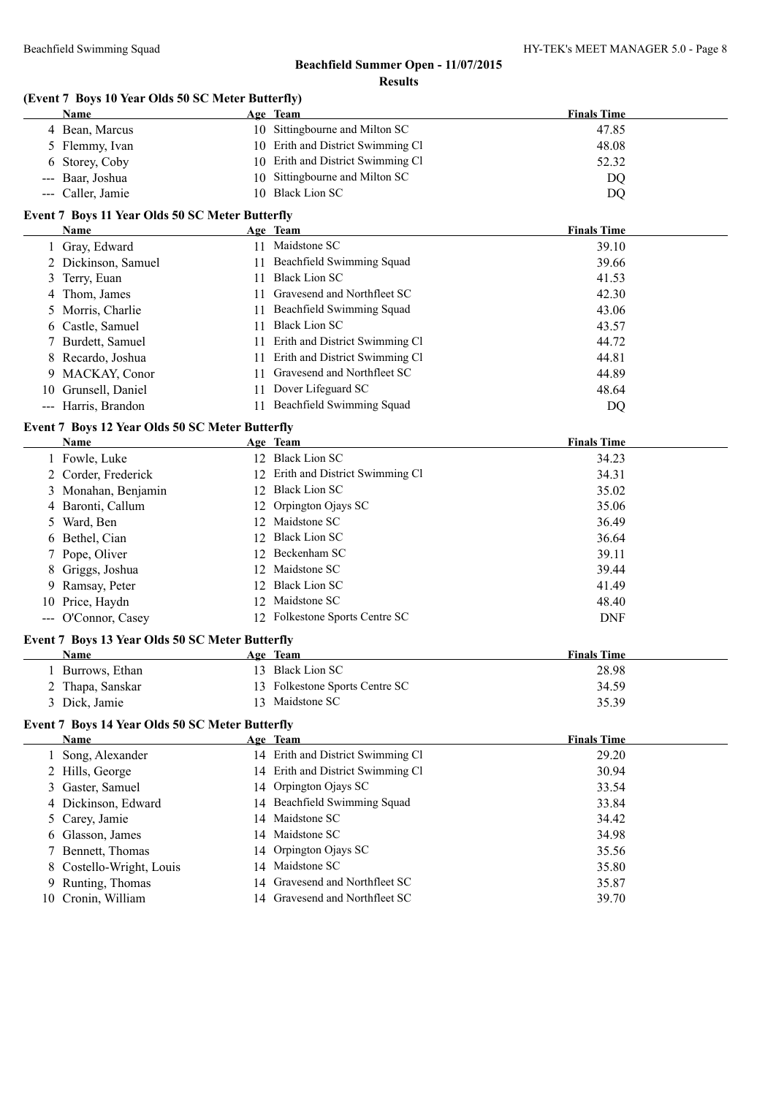# **(Event 7 Boys 10 Year Olds 50 SC Meter Butterfly)**

|     | Name                                            |          | Age Team                                              | <b>Finals Time</b> |
|-----|-------------------------------------------------|----------|-------------------------------------------------------|--------------------|
|     | 4 Bean, Marcus                                  |          | 10 Sittingbourne and Milton SC                        | 47.85              |
|     | 5 Flemmy, Ivan                                  |          | 10 Erith and District Swimming Cl                     | 48.08              |
| 6   | Storey, Coby                                    |          | 10 Erith and District Swimming Cl                     | 52.32              |
|     | Baar, Joshua                                    | 10       | Sittingbourne and Milton SC                           | DQ                 |
| --- | Caller, Jamie                                   |          | 10 Black Lion SC                                      | DQ                 |
|     | Event 7 Boys 11 Year Olds 50 SC Meter Butterfly |          |                                                       |                    |
|     | Name                                            |          | Age Team                                              | <b>Finals Time</b> |
|     | 1 Gray, Edward                                  |          | 11 Maidstone SC                                       | 39.10              |
|     | 2 Dickinson, Samuel                             |          | 11 Beachfield Swimming Squad                          | 39.66              |
|     | 3 Terry, Euan                                   |          | 11 Black Lion SC                                      | 41.53              |
|     | 4 Thom, James                                   |          | 11 Gravesend and Northfleet SC                        | 42.30              |
| 5   | Morris, Charlie                                 |          | 11 Beachfield Swimming Squad                          | 43.06              |
| 6   | Castle, Samuel                                  |          | 11 Black Lion SC                                      | 43.57              |
|     | Burdett, Samuel                                 |          | 11 Erith and District Swimming Cl                     | 44.72              |
| 8   | Recardo, Joshua                                 | 11       | Erith and District Swimming Cl                        | 44.81              |
| 9.  | MACKAY, Conor                                   | 11       | Gravesend and Northfleet SC                           | 44.89              |
|     | 10 Grunsell, Daniel                             |          | 11 Dover Lifeguard SC                                 | 48.64              |
|     | --- Harris, Brandon                             |          | 11 Beachfield Swimming Squad                          | DQ                 |
|     |                                                 |          |                                                       |                    |
|     | Event 7 Boys 12 Year Olds 50 SC Meter Butterfly |          |                                                       |                    |
|     | <b>Name</b>                                     |          | Age Team<br>12 Black Lion SC                          | <b>Finals Time</b> |
|     | 1 Fowle, Luke                                   |          |                                                       | 34.23              |
|     | 2 Corder, Frederick                             |          | 12 Erith and District Swimming Cl<br>12 Black Lion SC | 34.31              |
|     | 3 Monahan, Benjamin                             |          |                                                       | 35.02<br>35.06     |
|     | 4 Baronti, Callum                               | 12       | Orpington Ojays SC<br>Maidstone SC                    |                    |
|     | 5 Ward, Ben                                     | 12<br>12 | <b>Black Lion SC</b>                                  | 36.49              |
|     | 6 Bethel, Cian                                  | 12       | Beckenham SC                                          | 36.64<br>39.11     |
|     | Pope, Oliver                                    |          | Maidstone SC                                          | 39.44              |
|     | Griggs, Joshua                                  | 12       | <b>Black Lion SC</b>                                  |                    |
| 9.  | Ramsay, Peter                                   | 12       | Maidstone SC                                          | 41.49              |
| 10  | Price, Haydn                                    | 12       | 12 Folkestone Sports Centre SC                        | 48.40              |
|     | --- O'Connor, Casey                             |          |                                                       | <b>DNF</b>         |
|     | Event 7 Boys 13 Year Olds 50 SC Meter Butterfly |          |                                                       |                    |
|     | <b>Name</b>                                     |          | Age Team                                              | <b>Finals Time</b> |
|     | 1 Burrows, Ethan                                |          | 13 Black Lion SC                                      | 28.98              |
|     | 2 Thapa, Sanskar                                |          | 13 Folkestone Sports Centre SC                        | 34.59              |
|     | 3 Dick, Jamie                                   |          | 13 Maidstone SC                                       | 35.39              |
|     | Event 7 Boys 14 Year Olds 50 SC Meter Butterfly |          |                                                       |                    |
|     | Name                                            |          | Age Team                                              | <b>Finals Time</b> |
|     | 1 Song, Alexander                               |          | 14 Erith and District Swimming Cl                     | 29.20              |
|     | 2 Hills, George                                 |          | 14 Erith and District Swimming Cl                     | 30.94              |
| 3   | Gaster, Samuel                                  |          | 14 Orpington Ojays SC                                 | 33.54              |
| 4   | Dickinson, Edward                               |          | 14 Beachfield Swimming Squad                          | 33.84              |
| 5   | Carey, Jamie                                    | 14       | Maidstone SC                                          | 34.42              |
| 6   | Glasson, James                                  | 14       | Maidstone SC                                          | 34.98              |
| 7   | Bennett, Thomas                                 | 14       | Orpington Ojays SC                                    | 35.56              |
|     | Costello-Wright, Louis                          | 14       | Maidstone SC                                          | 35.80              |
| 9   | Runting, Thomas                                 | 14       | Gravesend and Northfleet SC                           | 35.87              |
| 10  | Cronin, William                                 |          | 14 Gravesend and Northfleet SC                        | 39.70              |
|     |                                                 |          |                                                       |                    |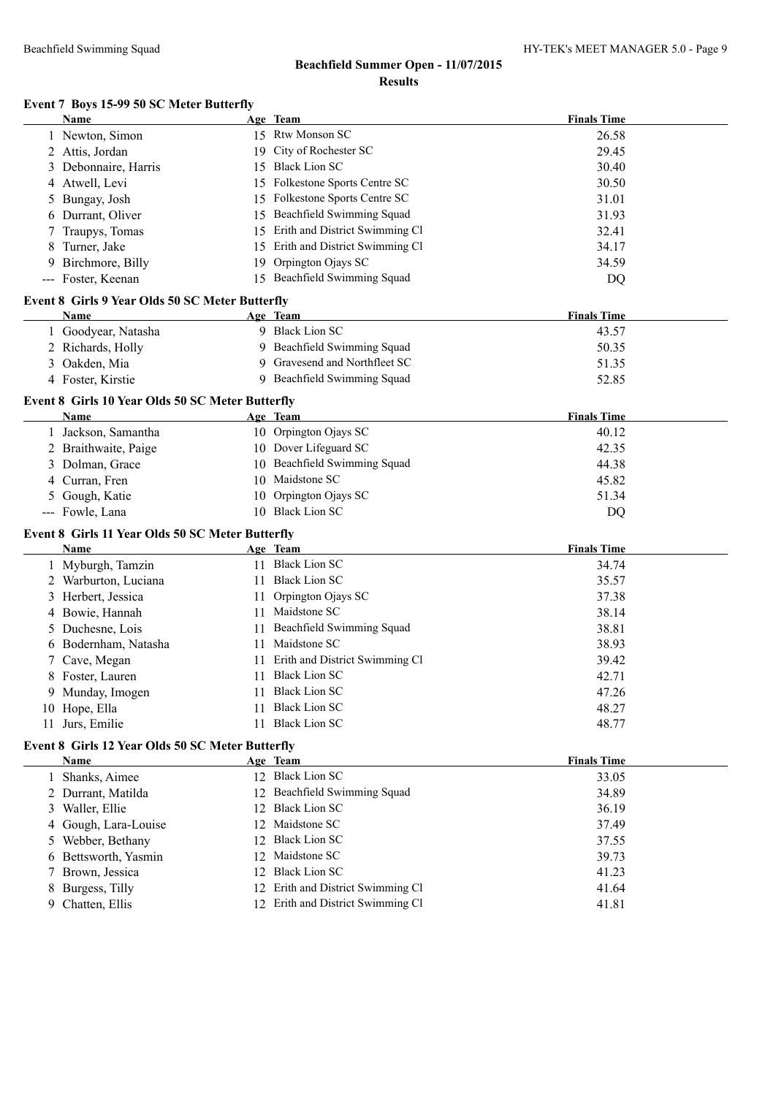## **Event 7 Boys 15-99 50 SC Meter Butterfly**

|         | <b>Name</b>                                            |    | Age Team                                                               | <b>Finals Time</b> |  |
|---------|--------------------------------------------------------|----|------------------------------------------------------------------------|--------------------|--|
|         | 1 Newton, Simon                                        |    | 15 Rtw Monson SC                                                       | 26.58              |  |
|         | 2 Attis, Jordan                                        |    | 19 City of Rochester SC                                                | 29.45              |  |
| 3       | Debonnaire, Harris                                     |    | 15 Black Lion SC                                                       | 30.40              |  |
|         | 4 Atwell, Levi                                         |    | 15 Folkestone Sports Centre SC                                         | 30.50              |  |
|         | 5 Bungay, Josh                                         |    | 15 Folkestone Sports Centre SC                                         | 31.01              |  |
|         | 6 Durrant, Oliver                                      |    | 15 Beachfield Swimming Squad                                           | 31.93              |  |
|         | Traupys, Tomas                                         |    | 15 Erith and District Swimming Cl                                      | 32.41              |  |
| 8       | Turner, Jake                                           |    | 15 Erith and District Swimming Cl                                      | 34.17              |  |
| 9.      | Birchmore, Billy                                       | 19 | Orpington Ojays SC                                                     | 34.59              |  |
|         | --- Foster, Keenan                                     |    | 15 Beachfield Swimming Squad                                           | <b>DQ</b>          |  |
|         | <b>Event 8 Girls 9 Year Olds 50 SC Meter Butterfly</b> |    |                                                                        |                    |  |
|         | Name                                                   |    | Age Team                                                               | <b>Finals Time</b> |  |
|         | 1 Goodyear, Natasha                                    |    | 9 Black Lion SC                                                        | 43.57              |  |
|         | 2 Richards, Holly                                      |    | 9 Beachfield Swimming Squad                                            | 50.35              |  |
|         | 3 Oakden, Mia                                          |    | 9 Gravesend and Northfleet SC                                          | 51.35              |  |
|         | 4 Foster, Kirstie                                      |    | 9 Beachfield Swimming Squad                                            | 52.85              |  |
|         |                                                        |    |                                                                        |                    |  |
|         | Event 8 Girls 10 Year Olds 50 SC Meter Butterfly       |    |                                                                        |                    |  |
|         | Name                                                   |    | Age Team                                                               | <b>Finals Time</b> |  |
|         | 1 Jackson, Samantha                                    |    | 10 Orpington Ojays SC                                                  | 40.12              |  |
|         | 2 Braithwaite, Paige                                   |    | 10 Dover Lifeguard SC                                                  | 42.35              |  |
|         | 3 Dolman, Grace                                        |    | 10 Beachfield Swimming Squad                                           | 44.38              |  |
|         | 4 Curran, Fren                                         |    | 10 Maidstone SC                                                        | 45.82              |  |
|         | 5 Gough, Katie                                         |    | 10 Orpington Ojays SC                                                  | 51.34              |  |
|         | --- Fowle, Lana                                        |    | 10 Black Lion SC                                                       | DQ                 |  |
|         | Event 8 Girls 11 Year Olds 50 SC Meter Butterfly       |    |                                                                        |                    |  |
|         | Name                                                   |    | Age Team                                                               | <b>Finals Time</b> |  |
|         | 1 Myburgh, Tamzin                                      |    | 11 Black Lion SC                                                       | 34.74              |  |
|         | 2 Warburton, Luciana                                   |    | 11 Black Lion SC                                                       | 35.57              |  |
|         | 3 Herbert, Jessica                                     | 11 | Orpington Ojays SC                                                     | 37.38              |  |
|         | 4 Bowie, Hannah                                        |    | 11 Maidstone SC                                                        | 38.14              |  |
|         | 5 Duchesne, Lois                                       |    | 11 Beachfield Swimming Squad                                           | 38.81              |  |
|         | 6 Bodernham, Natasha                                   |    | 11 Maidstone SC                                                        | 38.93              |  |
|         | 7 Cave, Megan                                          |    | 11 Erith and District Swimming Cl                                      | 39.42              |  |
|         | 8 Foster, Lauren                                       | 11 | <b>Black Lion SC</b>                                                   | 42.71              |  |
|         | 9 Munday, Imogen                                       |    | 11 Black Lion SC                                                       | 47.26              |  |
|         | 10 Hope, Ella                                          |    | 11 Black Lion SC                                                       | 48.27              |  |
|         | 11 Jurs, Emilie                                        |    | 11 Black Lion SC                                                       | 48.77              |  |
|         | Event 8 Girls 12 Year Olds 50 SC Meter Butterfly       |    |                                                                        |                    |  |
|         | Name                                                   |    | Age Team                                                               | <b>Finals Time</b> |  |
|         | 1 Shanks, Aimee                                        |    | 12 Black Lion SC                                                       | 33.05              |  |
|         | 2 Durrant, Matilda                                     |    | 12 Beachfield Swimming Squad                                           | 34.89              |  |
|         | 3 Waller, Ellie                                        |    | 12 Black Lion SC                                                       | 36.19              |  |
|         | 4 Gough, Lara-Louise                                   |    | 12 Maidstone SC                                                        | 37.49              |  |
|         | 5 Webber, Bethany                                      |    | 12 Black Lion SC                                                       | 37.55              |  |
|         | 6 Bettsworth, Yasmin                                   | 12 | Maidstone SC                                                           | 39.73              |  |
|         | 7 Brown, Jessica                                       |    |                                                                        |                    |  |
|         |                                                        |    |                                                                        |                    |  |
|         |                                                        |    | 12 Black Lion SC                                                       | 41.23              |  |
| 8<br>9. | Burgess, Tilly<br>Chatten, Ellis                       |    | 12 Erith and District Swimming Cl<br>12 Erith and District Swimming Cl | 41.64<br>41.81     |  |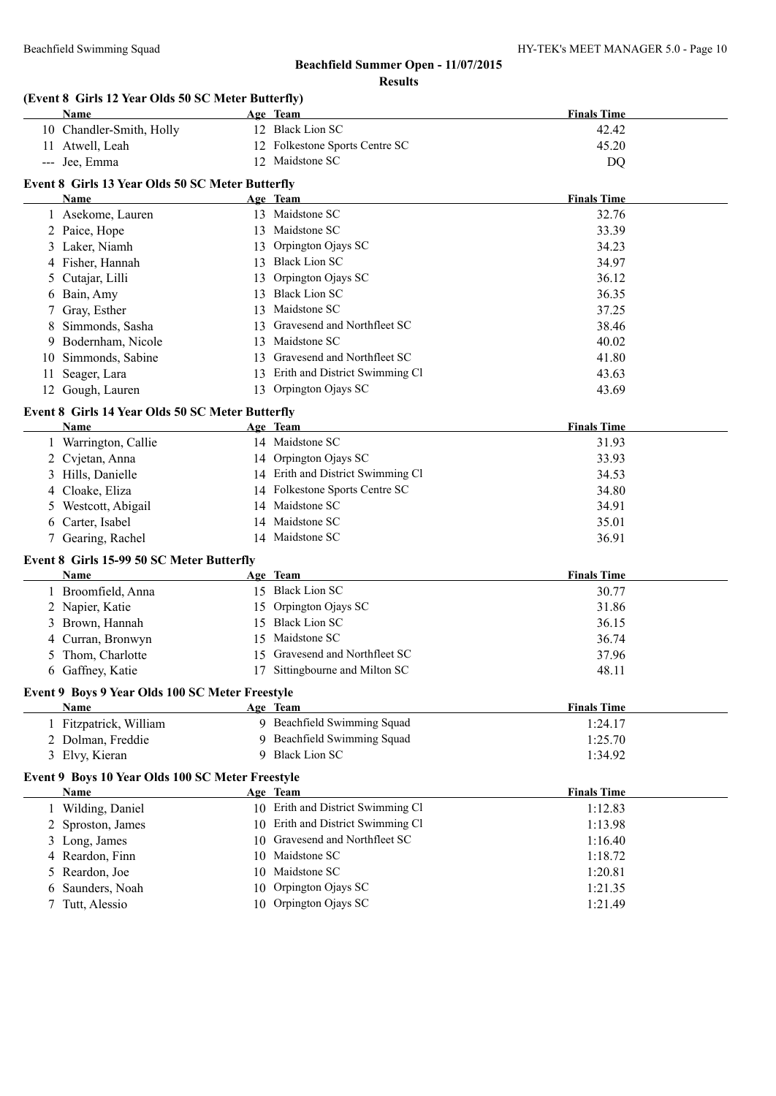# **Beachfield Summer Open - 11/07/2015**

|    | (Event 8 Girls 12 Year Olds 50 SC Meter Butterfly) |    |                                   |                    |
|----|----------------------------------------------------|----|-----------------------------------|--------------------|
|    | Name                                               |    | Age Team                          | <b>Finals Time</b> |
|    | 10 Chandler-Smith, Holly                           |    | 12 Black Lion SC                  | 42.42              |
|    | 11 Atwell, Leah                                    |    | 12 Folkestone Sports Centre SC    | 45.20              |
|    | --- Jee, Emma                                      |    | 12 Maidstone SC                   | DQ                 |
|    | Event 8 Girls 13 Year Olds 50 SC Meter Butterfly   |    |                                   |                    |
|    | Name                                               |    | Age Team                          | <b>Finals Time</b> |
|    | 1 Asekome, Lauren                                  |    | 13 Maidstone SC                   | 32.76              |
|    | 2 Paice, Hope                                      |    | 13 Maidstone SC                   | 33.39              |
|    | 3 Laker, Niamh                                     | 13 | Orpington Ojays SC                | 34.23              |
|    | 4 Fisher, Hannah                                   |    | 13 Black Lion SC                  | 34.97              |
| 5  | Cutajar, Lilli                                     | 13 | Orpington Ojays SC                | 36.12              |
|    | 6 Bain, Amy                                        |    | 13 Black Lion SC                  | 36.35              |
| 7  | Gray, Esther                                       |    | 13 Maidstone SC                   | 37.25              |
| 8  | Simmonds, Sasha                                    |    | 13 Gravesend and Northfleet SC    | 38.46              |
|    | 9 Bodernham, Nicole                                |    | 13 Maidstone SC                   | 40.02              |
|    | 10 Simmonds, Sabine                                |    | 13 Gravesend and Northfleet SC    | 41.80              |
|    |                                                    |    | 13 Erith and District Swimming Cl | 43.63              |
| 11 | Seager, Lara                                       |    | 13 Orpington Ojays SC             |                    |
|    | 12 Gough, Lauren                                   |    |                                   | 43.69              |
|    | Event 8 Girls 14 Year Olds 50 SC Meter Butterfly   |    |                                   |                    |
|    | Name                                               |    | Age Team                          | <b>Finals Time</b> |
|    | 1 Warrington, Callie                               |    | 14 Maidstone SC                   | 31.93              |
|    | 2 Cvjetan, Anna                                    |    | 14 Orpington Ojays SC             | 33.93              |
|    | 3 Hills, Danielle                                  |    | 14 Erith and District Swimming Cl | 34.53              |
|    | 4 Cloake, Eliza                                    |    | 14 Folkestone Sports Centre SC    | 34.80              |
| 5  | Westcott, Abigail                                  |    | 14 Maidstone SC                   | 34.91              |
|    | 6 Carter, Isabel                                   |    | 14 Maidstone SC                   | 35.01              |
|    | 7 Gearing, Rachel                                  |    | 14 Maidstone SC                   | 36.91              |
|    | Event 8 Girls 15-99 50 SC Meter Butterfly          |    |                                   |                    |
|    | Name                                               |    | Age Team                          | <b>Finals Time</b> |
|    | 1 Broomfield, Anna                                 |    | 15 Black Lion SC                  | 30.77              |
|    | 2 Napier, Katie                                    |    | 15 Orpington Ojays SC             | 31.86              |
|    | 3 Brown, Hannah                                    |    | 15 Black Lion SC                  | 36.15              |
|    | 4 Curran, Bronwyn                                  |    | 15 Maidstone SC                   | 36.74              |
|    | 5 Thom, Charlotte                                  |    | 15 Gravesend and Northfleet SC    | 37.96              |
|    | 6 Gaffney, Katie                                   |    | 17 Sittingbourne and Milton SC    | 48.11              |
|    | Event 9 Boys 9 Year Olds 100 SC Meter Freestyle    |    |                                   |                    |
|    | Name                                               |    | Age Team                          | <b>Finals Time</b> |
|    | 1 Fitzpatrick, William                             |    | 9 Beachfield Swimming Squad       | 1:24.17            |
|    | 2 Dolman, Freddie                                  |    | 9 Beachfield Swimming Squad       | 1:25.70            |
|    | 3 Elvy, Kieran                                     |    | 9 Black Lion SC                   | 1:34.92            |
|    |                                                    |    |                                   |                    |
|    | Event 9 Boys 10 Year Olds 100 SC Meter Freestyle   |    |                                   |                    |
|    | Name                                               |    | Age Team                          | <b>Finals Time</b> |
|    | 1 Wilding, Daniel                                  |    | 10 Erith and District Swimming Cl | 1:12.83            |
|    | 2 Sproston, James                                  |    | 10 Erith and District Swimming Cl | 1:13.98            |
|    | 3 Long, James                                      | 10 | Gravesend and Northfleet SC       | 1:16.40            |
|    | 4 Reardon, Finn                                    |    | 10 Maidstone SC                   | 1:18.72            |
| 5. | Reardon, Joe                                       |    | 10 Maidstone SC                   | 1:20.81            |
| 6  | Saunders, Noah                                     | 10 | Orpington Ojays SC                | 1:21.35            |
| 7  | Tutt, Alessio                                      |    | 10 Orpington Ojays SC             | 1:21.49            |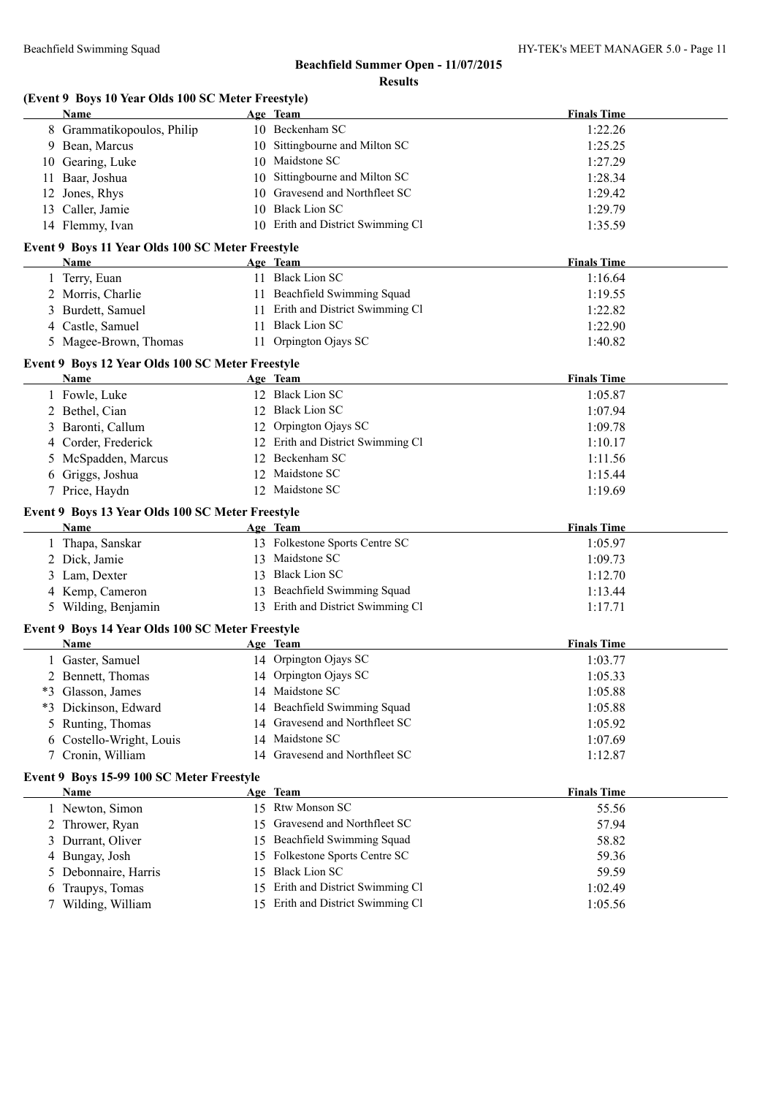|     | (Event 9 Boys 10 Year Olds 100 SC Meter Freestyle) |    |                                                                     |                    |
|-----|----------------------------------------------------|----|---------------------------------------------------------------------|--------------------|
|     | Name                                               |    | Age Team                                                            | <b>Finals Time</b> |
|     | 8 Grammatikopoulos, Philip                         |    | 10 Beckenham SC                                                     | 1:22.26            |
|     | 9 Bean, Marcus                                     |    | 10 Sittingbourne and Milton SC                                      | 1:25.25            |
|     | 10 Gearing, Luke                                   |    | 10 Maidstone SC                                                     | 1:27.29            |
| 11. | Baar, Joshua                                       | 10 | Sittingbourne and Milton SC                                         | 1:28.34            |
|     | 12 Jones, Rhys                                     |    | 10 Gravesend and Northfleet SC                                      | 1:29.42            |
|     | 13 Caller, Jamie                                   |    | 10 Black Lion SC                                                    | 1:29.79            |
|     | 14 Flemmy, Ivan                                    |    | 10 Erith and District Swimming Cl                                   | 1:35.59            |
|     | Event 9 Boys 11 Year Olds 100 SC Meter Freestyle   |    |                                                                     |                    |
|     | Name                                               |    | Age Team                                                            | <b>Finals Time</b> |
|     | 1 Terry, Euan                                      |    | 11 Black Lion SC                                                    | 1:16.64            |
|     | 2 Morris, Charlie                                  |    | 11 Beachfield Swimming Squad                                        | 1:19.55            |
| 3   | Burdett, Samuel                                    |    | 11 Erith and District Swimming Cl                                   | 1:22.82            |
|     | 4 Castle, Samuel                                   |    | 11 Black Lion SC                                                    | 1:22.90            |
|     | 5 Magee-Brown, Thomas                              |    | 11 Orpington Ojays SC                                               | 1:40.82            |
|     | Event 9 Boys 12 Year Olds 100 SC Meter Freestyle   |    |                                                                     |                    |
|     | Name                                               |    | Age Team                                                            | <b>Finals Time</b> |
|     | 1 Fowle, Luke                                      |    | 12 Black Lion SC                                                    | 1:05.87            |
|     | 2 Bethel, Cian                                     |    | 12 Black Lion SC                                                    | 1:07.94            |
|     | Baronti, Callum                                    |    | 12 Orpington Ojays SC                                               | 1:09.78            |
|     | 4 Corder, Frederick                                |    | 12 Erith and District Swimming Cl                                   | 1:10.17            |
|     | McSpadden, Marcus                                  |    | 12 Beckenham SC                                                     | 1:11.56            |
|     | 6 Griggs, Joshua                                   |    | 12 Maidstone SC                                                     | 1:15.44            |
|     | 7 Price, Haydn                                     |    | 12 Maidstone SC                                                     | 1:19.69            |
|     | Event 9 Boys 13 Year Olds 100 SC Meter Freestyle   |    |                                                                     |                    |
|     | Name                                               |    | Age Team                                                            | <b>Finals Time</b> |
|     | 1 Thapa, Sanskar                                   |    | 13 Folkestone Sports Centre SC                                      | 1:05.97            |
|     | 2 Dick, Jamie                                      | 13 | Maidstone SC                                                        | 1:09.73            |
|     | 3 Lam, Dexter                                      |    | 13 Black Lion SC                                                    | 1:12.70            |
|     | 4 Kemp, Cameron                                    |    | 13 Beachfield Swimming Squad                                        | 1:13.44            |
|     | 5 Wilding, Benjamin                                |    |                                                                     |                    |
|     |                                                    |    | 13 Erith and District Swimming Cl                                   | 1:17.71            |
|     | Event 9 Boys 14 Year Olds 100 SC Meter Freestyle   |    |                                                                     |                    |
|     | Name                                               |    | Age Team                                                            | <b>Finals Time</b> |
|     |                                                    |    | 14 Orpington Ojays SC                                               | 1:03.77            |
|     | 1 Gaster, Samuel                                   |    | 14 Orpington Ojays SC                                               |                    |
|     | 2 Bennett, Thomas                                  |    |                                                                     | 1:05.33            |
|     | *3 Glasson, James                                  |    | 14 Maidstone SC                                                     | 1:05.88            |
|     | *3 Dickinson, Edward                               |    | 14 Beachfield Swimming Squad                                        | 1:05.88            |
|     | 5 Runting, Thomas                                  |    | 14 Gravesend and Northfleet SC                                      | 1:05.92            |
|     | 6 Costello-Wright, Louis                           | 14 | Maidstone SC                                                        | 1:07.69            |
|     | 7 Cronin, William                                  |    | 14 Gravesend and Northfleet SC                                      | 1:12.87            |
|     | Event 9 Boys 15-99 100 SC Meter Freestyle          |    |                                                                     |                    |
|     | Name                                               |    | Age Team                                                            | <b>Finals Time</b> |
|     | 1 Newton, Simon                                    |    | 15 Rtw Monson SC                                                    | 55.56              |
|     | 2 Thrower, Ryan                                    | 15 | Gravesend and Northfleet SC                                         | 57.94              |
|     | 3 Durrant, Oliver                                  | 15 | Beachfield Swimming Squad                                           | 58.82              |
|     | 4 Bungay, Josh                                     | 15 | Folkestone Sports Centre SC                                         | 59.36              |
| 5.  | Debonnaire, Harris                                 | 15 | <b>Black Lion SC</b>                                                | 59.59              |
| 6   | Traupys, Tomas<br>7 Wilding, William               | 15 | Erith and District Swimming Cl<br>15 Erith and District Swimming Cl | 1:02.49<br>1:05.56 |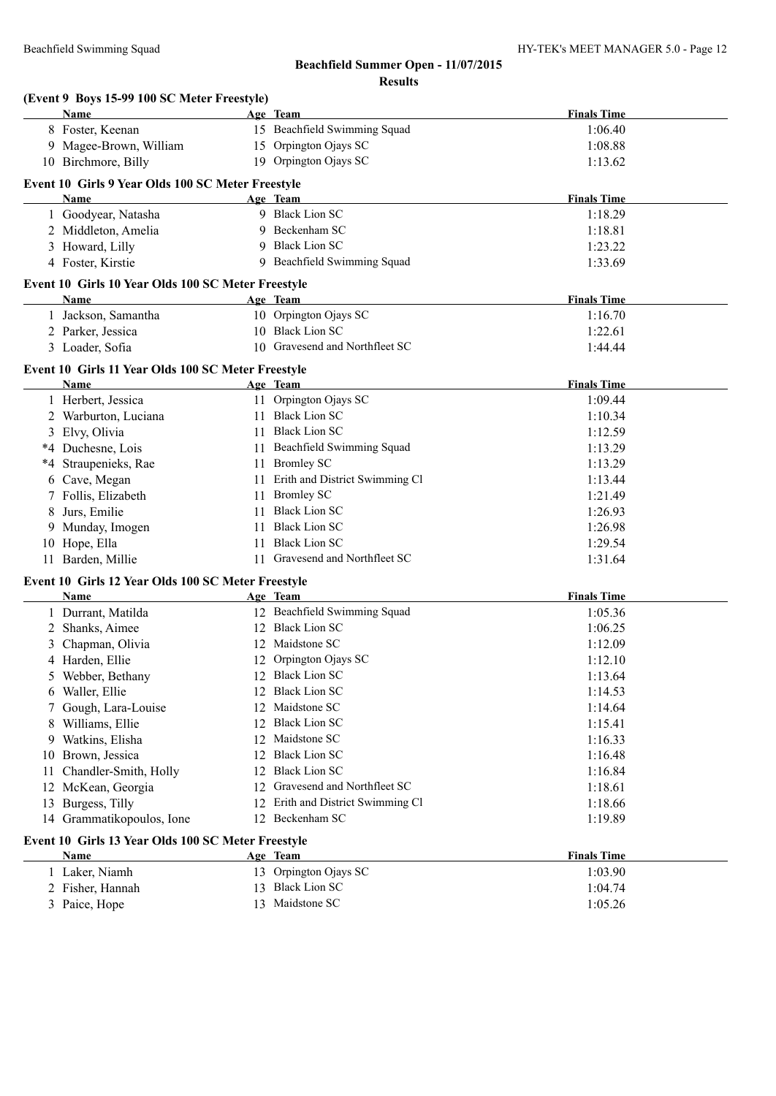|      | (Event 9 Boys 15-99 100 SC Meter Freestyle)<br>Name        |     | Age Team                          | <b>Finals Time</b> |
|------|------------------------------------------------------------|-----|-----------------------------------|--------------------|
|      | 8 Foster, Keenan                                           |     | 15 Beachfield Swimming Squad      | 1:06.40            |
|      | 9 Magee-Brown, William                                     |     | 15 Orpington Ojays SC             | 1:08.88            |
|      | 10 Birchmore, Billy                                        |     | 19 Orpington Ojays SC             | 1:13.62            |
|      |                                                            |     |                                   |                    |
|      | Event 10 Girls 9 Year Olds 100 SC Meter Freestyle          |     |                                   |                    |
|      | Name                                                       |     | Age Team                          | <b>Finals Time</b> |
|      | 1 Goodyear, Natasha                                        |     | 9 Black Lion SC                   | 1:18.29            |
|      | 2 Middleton, Amelia                                        |     | 9 Beckenham SC                    | 1:18.81            |
|      | 3 Howard, Lilly                                            | 9   | <b>Black Lion SC</b>              | 1:23.22            |
|      | 4 Foster, Kirstie                                          |     | 9 Beachfield Swimming Squad       | 1:33.69            |
|      | Event 10 Girls 10 Year Olds 100 SC Meter Freestyle         |     |                                   |                    |
|      | <b>Name</b>                                                |     | Age Team                          | <b>Finals Time</b> |
|      | 1 Jackson, Samantha                                        |     | 10 Orpington Ojays SC             | 1:16.70            |
|      | 2 Parker, Jessica                                          |     | 10 Black Lion SC                  | 1:22.61            |
|      | 3 Loader, Sofia                                            |     | 10 Gravesend and Northfleet SC    | 1:44.44            |
|      | Event 10 Girls 11 Year Olds 100 SC Meter Freestyle         |     |                                   |                    |
|      | Name                                                       |     | Age Team                          | <b>Finals Time</b> |
|      | 1 Herbert, Jessica                                         |     | 11 Orpington Ojays SC             | 1:09.44            |
|      | 2 Warburton, Luciana                                       |     | 11 Black Lion SC                  | 1:10.34            |
|      | 3 Elvy, Olivia                                             |     | 11 Black Lion SC                  | 1:12.59            |
|      | *4 Duchesne, Lois                                          |     | 11 Beachfield Swimming Squad      | 1:13.29            |
| $*4$ | Straupenieks, Rae                                          |     | 11 Bromley SC                     | 1:13.29            |
| 6    | Cave, Megan                                                |     | 11 Erith and District Swimming Cl | 1:13.44            |
|      | Follis, Elizabeth                                          | 11  | <b>Bromley SC</b>                 | 1:21.49            |
| 8    | Jurs, Emilie                                               | 11  | <b>Black Lion SC</b>              | 1:26.93            |
| 9    | Munday, Imogen                                             | 11  | <b>Black Lion SC</b>              | 1:26.98            |
|      | 10 Hope, Ella                                              | 11  | <b>Black Lion SC</b>              | 1:29.54            |
|      | 11 Barden, Millie                                          | 11  | Gravesend and Northfleet SC       | 1:31.64            |
|      |                                                            |     |                                   |                    |
|      | Event 10 Girls 12 Year Olds 100 SC Meter Freestyle<br>Name |     | Age Team                          | <b>Finals Time</b> |
|      | 1 Durrant, Matilda                                         |     | 12 Beachfield Swimming Squad      | 1:05.36            |
|      | 2 Shanks, Aimee                                            |     | 12 Black Lion SC                  | 1:06.25            |
|      | Chapman, Olivia                                            |     | 12 Maidstone SC                   | 1:12.09            |
|      | 4 Harden, Ellie                                            |     | 12 Orpington Ojays SC             | 1:12.10            |
| 5    | Webber, Bethany                                            |     | 12 Black Lion SC                  | 1:13.64            |
| 6    | Waller, Ellie                                              | 12. | <b>Black Lion SC</b>              | 1:14.53            |
|      | Gough, Lara-Louise                                         | 12  | Maidstone SC                      | 1:14.64            |
| 8    | Williams, Ellie                                            | 12  | <b>Black Lion SC</b>              | 1:15.41            |
| 9    | Watkins, Elisha                                            | 12  | Maidstone SC                      | 1:16.33            |
| 10   | Brown, Jessica                                             | 12  | <b>Black Lion SC</b>              | 1:16.48            |
| 11   | Chandler-Smith, Holly                                      | 12  | <b>Black Lion SC</b>              | 1:16.84            |
|      | 12 McKean, Georgia                                         | 12  | Gravesend and Northfleet SC       | 1:18.61            |
| 13   | Burgess, Tilly                                             |     | 12 Erith and District Swimming Cl | 1:18.66            |
|      | 14 Grammatikopoulos, Ione                                  |     | 12 Beckenham SC                   | 1:19.89            |
|      |                                                            |     |                                   |                    |
|      | Event 10 Girls 13 Year Olds 100 SC Meter Freestyle         |     |                                   |                    |
|      | Name                                                       |     | Age Team                          | <b>Finals Time</b> |
|      | 1 Laker, Niamh                                             |     | 13 Orpington Ojays SC             | 1:03.90            |
|      | 2 Fisher, Hannah                                           | 13  | <b>Black Lion SC</b>              | 1:04.74            |
|      | 3 Paice, Hope                                              |     | 13 Maidstone SC                   | 1:05.26            |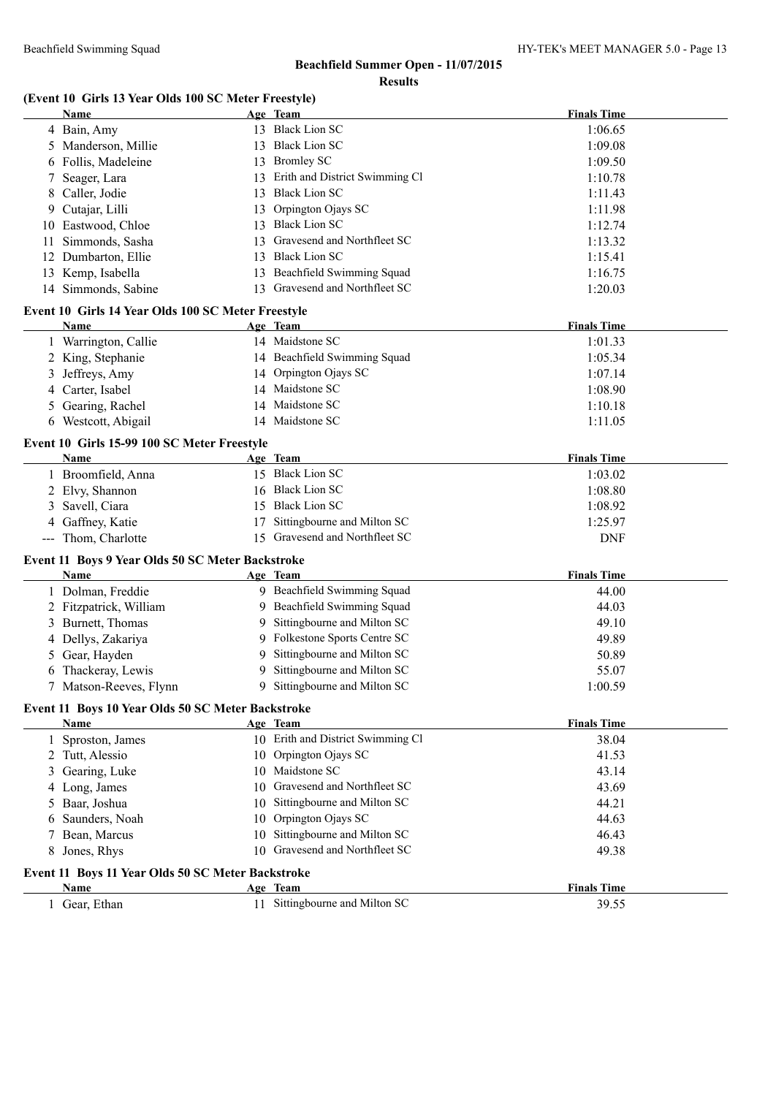#### **(Event 10 Girls 13 Year Olds 100 SC Meter Freestyle)**

|                     | <b>Name</b>                                                       |    | Age Team                                      | <b>Finals Time</b> |
|---------------------|-------------------------------------------------------------------|----|-----------------------------------------------|--------------------|
|                     | 4 Bain, Amy                                                       |    | 13 Black Lion SC                              | 1:06.65            |
| 5.                  | Manderson, Millie                                                 |    | 13 Black Lion SC                              | 1:09.08            |
| 6                   | Follis, Madeleine                                                 |    | 13 Bromley SC                                 | 1:09.50            |
| 7                   | Seager, Lara                                                      | 13 | Erith and District Swimming Cl                | 1:10.78            |
| 8                   | Caller, Jodie                                                     | 13 | <b>Black Lion SC</b>                          | 1:11.43            |
| 9                   | Cutajar, Lilli                                                    | 13 | Orpington Ojays SC                            | 1:11.98            |
| 10                  | Eastwood, Chloe                                                   | 13 | <b>Black Lion SC</b>                          | 1:12.74            |
| 11                  | Simmonds, Sasha                                                   | 13 | Gravesend and Northfleet SC                   | 1:13.32            |
| 12                  | Dumbarton, Ellie                                                  | 13 | <b>Black Lion SC</b>                          | 1:15.41            |
|                     | 13 Kemp, Isabella                                                 | 13 | Beachfield Swimming Squad                     | 1:16.75            |
|                     | 14 Simmonds, Sabine                                               |    | 13 Gravesend and Northfleet SC                | 1:20.03            |
|                     |                                                                   |    |                                               |                    |
|                     | Event 10 Girls 14 Year Olds 100 SC Meter Freestyle<br><b>Name</b> |    | Age Team                                      | <b>Finals Time</b> |
|                     |                                                                   |    | 14 Maidstone SC                               | 1:01.33            |
|                     | 1 Warrington, Callie                                              |    |                                               |                    |
|                     | 2 King, Stephanie                                                 |    | 14 Beachfield Swimming Squad                  | 1:05.34            |
| 3                   | Jeffreys, Amy                                                     |    | 14 Orpington Ojays SC                         | 1:07.14            |
| 4                   | Carter, Isabel                                                    |    | 14 Maidstone SC                               | 1:08.90            |
| 5                   | Gearing, Rachel                                                   |    | 14 Maidstone SC                               | 1:10.18            |
|                     | 6 Westcott, Abigail                                               |    | 14 Maidstone SC                               | 1:11.05            |
|                     | Event 10 Girls 15-99 100 SC Meter Freestyle                       |    |                                               |                    |
|                     | Name                                                              |    | Age Team                                      | <b>Finals Time</b> |
|                     | 1 Broomfield, Anna                                                |    | 15 Black Lion SC                              | 1:03.02            |
| 2                   | Elvy, Shannon                                                     | 16 | <b>Black Lion SC</b>                          | 1:08.80            |
| 3                   | Savell, Ciara                                                     | 15 | <b>Black Lion SC</b>                          | 1:08.92            |
| 4                   | Gaffney, Katie                                                    | 17 | Sittingbourne and Milton SC                   | 1:25.97            |
| $\qquad \qquad - -$ | Thom, Charlotte                                                   |    | 15 Gravesend and Northfleet SC                | <b>DNF</b>         |
|                     | Event 11 Boys 9 Year Olds 50 SC Meter Backstroke                  |    |                                               |                    |
|                     | Name                                                              |    | Age Team                                      | <b>Finals Time</b> |
|                     | 1 Dolman, Freddie                                                 |    | 9 Beachfield Swimming Squad                   | 44.00              |
|                     | 2 Fitzpatrick, William                                            |    | 9 Beachfield Swimming Squad                   | 44.03              |
| 3                   | Burnett, Thomas                                                   | 9  | Sittingbourne and Milton SC                   | 49.10              |
| 4                   | Dellys, Zakariya                                                  | 9  | Folkestone Sports Centre SC                   | 49.89              |
| 5                   | Gear, Hayden                                                      | 9  | Sittingbourne and Milton SC                   | 50.89              |
| 6                   | Thackeray, Lewis                                                  | 9  | Sittingbourne and Milton SC                   | 55.07              |
|                     | 7 Matson-Reeves, Flynn                                            | 9  | Sittingbourne and Milton SC                   | 1:00.59            |
|                     |                                                                   |    |                                               |                    |
|                     | Event 11 Boys 10 Year Olds 50 SC Meter Backstroke                 |    |                                               |                    |
|                     | <b>Name</b>                                                       |    | Age Team<br>10 Erith and District Swimming Cl | <b>Finals Time</b> |
|                     | 1 Sproston, James                                                 |    |                                               | 38.04              |
|                     | 2 Tutt, Alessio                                                   |    | 10 Orpington Ojays SC<br>10 Maidstone SC      | 41.53              |
| 3                   | Gearing, Luke                                                     |    |                                               | 43.14              |
| 4                   | Long, James                                                       | 10 | Gravesend and Northfleet SC                   | 43.69              |
| 5                   | Baar, Joshua                                                      | 10 | Sittingbourne and Milton SC                   | 44.21              |
| 6                   | Saunders, Noah                                                    | 10 | Orpington Ojays SC                            | 44.63              |
| 7                   | Bean, Marcus                                                      | 10 | Sittingbourne and Milton SC                   | 46.43              |
| 8                   | Jones, Rhys                                                       | 10 | Gravesend and Northfleet SC                   | 49.38              |
|                     | Event 11 Boys 11 Year Olds 50 SC Meter Backstroke                 |    |                                               |                    |
|                     | <b>Name</b>                                                       |    | Age Team                                      | <b>Finals Time</b> |
|                     | 1 Gear, Ethan                                                     |    | 11 Sittingbourne and Milton SC                | 39.55              |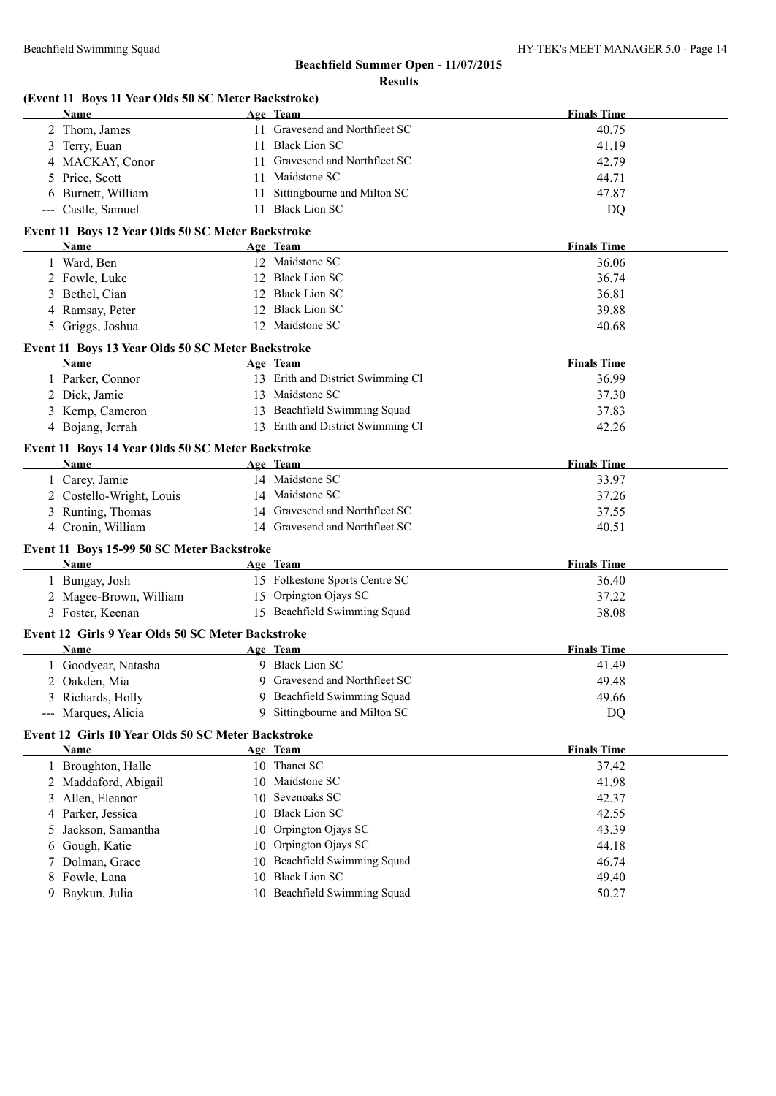|   | (Event 11 Boys 11 Year Olds 50 SC Meter Backstroke) |    |                                   |                    |
|---|-----------------------------------------------------|----|-----------------------------------|--------------------|
|   | Name                                                |    | Age Team                          | <b>Finals Time</b> |
|   | 2 Thom, James                                       |    | 11 Gravesend and Northfleet SC    | 40.75              |
|   | 3 Terry, Euan                                       |    | 11 Black Lion SC                  | 41.19              |
|   | 4 MACKAY, Conor                                     |    | 11 Gravesend and Northfleet SC    | 42.79              |
|   | 5 Price, Scott                                      |    | 11 Maidstone SC                   | 44.71              |
|   | 6 Burnett, William                                  |    | 11 Sittingbourne and Milton SC    | 47.87              |
|   | --- Castle, Samuel                                  |    | 11 Black Lion SC                  | DQ                 |
|   | Event 11 Boys 12 Year Olds 50 SC Meter Backstroke   |    |                                   |                    |
|   | Name                                                |    | Age Team                          | <b>Finals Time</b> |
|   | 1 Ward, Ben                                         |    | 12 Maidstone SC                   | 36.06              |
|   | 2 Fowle, Luke                                       |    | 12 Black Lion SC                  | 36.74              |
|   | 3 Bethel, Cian                                      |    | 12 Black Lion SC                  | 36.81              |
|   | 4 Ramsay, Peter                                     |    | 12 Black Lion SC                  | 39.88              |
|   | 5 Griggs, Joshua                                    |    | 12 Maidstone SC                   | 40.68              |
|   | Event 11 Boys 13 Year Olds 50 SC Meter Backstroke   |    |                                   |                    |
|   | Name                                                |    | Age Team                          | <b>Finals Time</b> |
|   | 1 Parker, Connor                                    |    | 13 Erith and District Swimming Cl | 36.99              |
|   | 2 Dick, Jamie                                       |    | 13 Maidstone SC                   | 37.30              |
|   | 3 Kemp, Cameron                                     |    | 13 Beachfield Swimming Squad      | 37.83              |
|   | 4 Bojang, Jerrah                                    |    | 13 Erith and District Swimming Cl | 42.26              |
|   | Event 11 Boys 14 Year Olds 50 SC Meter Backstroke   |    |                                   |                    |
|   | Name                                                |    | Age Team                          | <b>Finals Time</b> |
|   | 1 Carey, Jamie                                      |    | 14 Maidstone SC                   | 33.97              |
|   | 2 Costello-Wright, Louis                            |    | 14 Maidstone SC                   | 37.26              |
|   | 3 Runting, Thomas                                   |    | 14 Gravesend and Northfleet SC    | 37.55              |
|   | 4 Cronin, William                                   |    | 14 Gravesend and Northfleet SC    | 40.51              |
|   | Event 11 Boys 15-99 50 SC Meter Backstroke          |    |                                   |                    |
|   | Name                                                |    | Age Team                          | <b>Finals Time</b> |
|   | 1 Bungay, Josh                                      |    | 15 Folkestone Sports Centre SC    | 36.40              |
|   | 2 Magee-Brown, William                              |    | 15 Orpington Ojays SC             | 37.22              |
|   | 3 Foster, Keenan                                    |    | 15 Beachfield Swimming Squad      | 38.08              |
|   | Event 12 Girls 9 Year Olds 50 SC Meter Backstroke   |    |                                   |                    |
|   | Name                                                |    | Age Team                          | <b>Finals Time</b> |
|   | 1 Goodyear, Natasha                                 |    | 9 Black Lion SC                   | 41.49              |
| 2 | Oakden, Mia                                         |    | 9 Gravesend and Northfleet SC     | 49.48              |
|   | 3 Richards, Holly                                   | 9  | Beachfield Swimming Squad         | 49.66              |
|   | --- Marques, Alicia                                 | 9  | Sittingbourne and Milton SC       | <b>DQ</b>          |
|   | Event 12 Girls 10 Year Olds 50 SC Meter Backstroke  |    |                                   |                    |
|   | <b>Name</b>                                         |    | Age Team                          | <b>Finals Time</b> |
|   | 1 Broughton, Halle                                  |    | 10 Thanet SC                      | 37.42              |
|   | 2 Maddaford, Abigail                                |    | 10 Maidstone SC                   | 41.98              |
| 3 | Allen, Eleanor                                      | 10 | Sevenoaks SC                      | 42.37              |
| 4 | Parker, Jessica                                     | 10 | <b>Black Lion SC</b>              | 42.55              |
| 5 | Jackson, Samantha                                   | 10 | Orpington Ojays SC                | 43.39              |
| 6 | Gough, Katie                                        | 10 | Orpington Ojays SC                | 44.18              |
| 7 | Dolman, Grace                                       | 10 | Beachfield Swimming Squad         | 46.74              |
| 8 | Fowle, Lana                                         | 10 | <b>Black Lion SC</b>              | 49.40              |
| 9 | Baykun, Julia                                       |    | 10 Beachfield Swimming Squad      | 50.27              |
|   |                                                     |    |                                   |                    |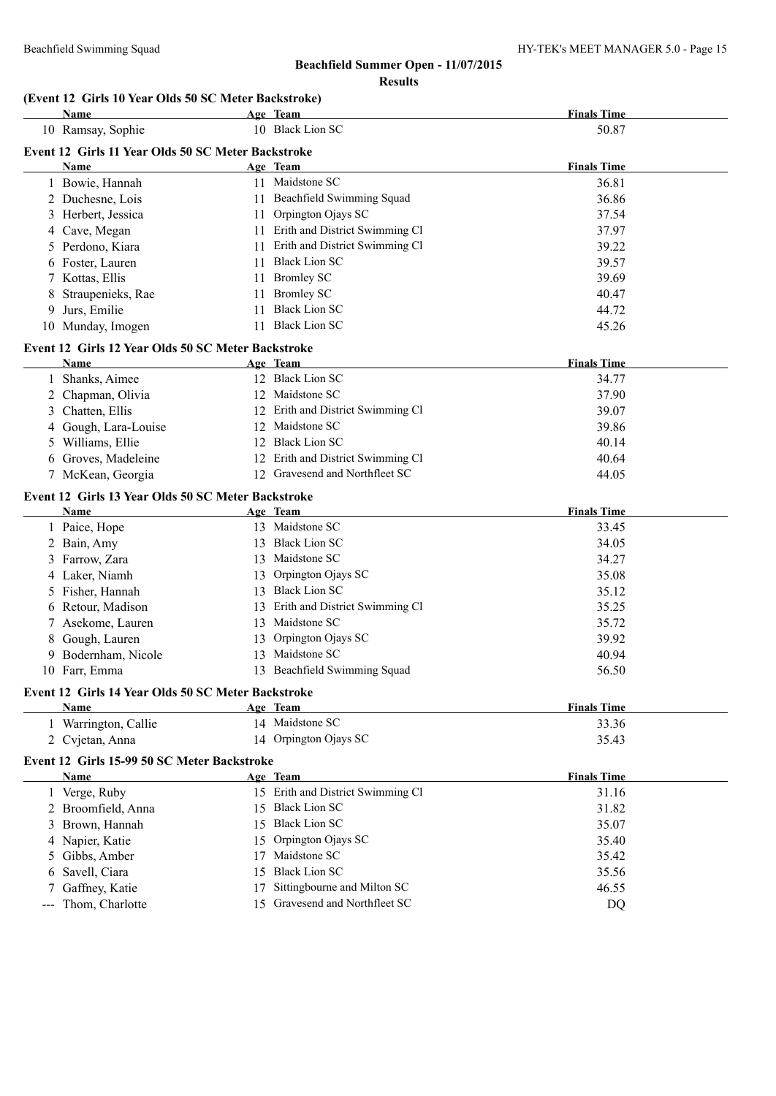#### **(Event 12 Girls 10 Year Olds 50 SC Meter Backstroke)**

|                   | <b>Name</b>                                                |    | Age Team                          | <b>Finals Time</b> |
|-------------------|------------------------------------------------------------|----|-----------------------------------|--------------------|
|                   | 10 Ramsay, Sophie                                          |    | 10 Black Lion SC                  | 50.87              |
|                   | Event 12 Girls 11 Year Olds 50 SC Meter Backstroke         |    |                                   |                    |
|                   | Name                                                       |    | Age Team                          | <b>Finals Time</b> |
|                   | 1 Bowie, Hannah                                            |    | 11 Maidstone SC                   | 36.81              |
|                   | 2 Duchesne, Lois                                           |    | 11 Beachfield Swimming Squad      | 36.86              |
|                   | 3 Herbert, Jessica                                         |    | 11 Orpington Ojays SC             | 37.54              |
|                   | 4 Cave, Megan                                              |    | 11 Erith and District Swimming Cl | 37.97              |
|                   | 5 Perdono, Kiara                                           |    | 11 Erith and District Swimming Cl | 39.22              |
|                   | 6 Foster, Lauren                                           |    | 11 Black Lion SC                  | 39.57              |
|                   | 7 Kottas, Ellis                                            | 11 | <b>Bromley SC</b>                 | 39.69              |
|                   | Straupenieks, Rae                                          | 11 | <b>Bromley SC</b>                 | 40.47              |
| 9                 | Jurs, Emilie                                               | 11 | <b>Black Lion SC</b>              | 44.72              |
|                   | 10 Munday, Imogen                                          |    | 11 Black Lion SC                  | 45.26              |
|                   | Event 12 Girls 12 Year Olds 50 SC Meter Backstroke         |    |                                   |                    |
|                   | <b>Name</b>                                                |    | Age Team                          | <b>Finals Time</b> |
|                   | 1 Shanks, Aimee                                            |    | 12 Black Lion SC                  | 34.77              |
|                   | 2 Chapman, Olivia                                          |    | 12 Maidstone SC                   | 37.90              |
|                   | 3 Chatten, Ellis                                           |    | 12 Erith and District Swimming Cl | 39.07              |
|                   | 4 Gough, Lara-Louise                                       |    | 12 Maidstone SC                   | 39.86              |
|                   | 5 Williams, Ellie                                          |    | 12 Black Lion SC                  | 40.14              |
|                   | 6 Groves, Madeleine                                        |    | 12 Erith and District Swimming Cl | 40.64              |
|                   | 7 McKean, Georgia                                          |    | 12 Gravesend and Northfleet SC    | 44.05              |
|                   |                                                            |    |                                   |                    |
|                   | Event 12 Girls 13 Year Olds 50 SC Meter Backstroke<br>Name |    | Age Team                          | <b>Finals Time</b> |
|                   | 1 Paice, Hope                                              |    | 13 Maidstone SC                   | 33.45              |
|                   | 2 Bain, Amy                                                |    | 13 Black Lion SC                  | 34.05              |
|                   | 3 Farrow, Zara                                             |    | 13 Maidstone SC                   | 34.27              |
|                   | 4 Laker, Niamh                                             |    | 13 Orpington Ojays SC             | 35.08              |
|                   | 5 Fisher, Hannah                                           |    | 13 Black Lion SC                  | 35.12              |
|                   | 6 Retour, Madison                                          |    | 13 Erith and District Swimming Cl | 35.25              |
| 7                 | Asekome, Lauren                                            |    | 13 Maidstone SC                   | 35.72              |
|                   | 8 Gough, Lauren                                            |    | 13 Orpington Ojays SC             | 39.92              |
| 9                 | Bodernham, Nicole                                          |    | 13 Maidstone SC                   | 40.94              |
|                   | 10 Farr, Emma                                              |    | 13 Beachfield Swimming Squad      | 56.50              |
|                   |                                                            |    |                                   |                    |
|                   | Event 12 Girls 14 Year Olds 50 SC Meter Backstroke         |    |                                   |                    |
|                   | Name                                                       |    | Age Team                          | <b>Finals Time</b> |
|                   | 1 Warrington, Callie                                       |    | 14 Maidstone SC                   | 33.36              |
|                   | 2 Cvjetan, Anna                                            |    | 14 Orpington Ojays SC             | 35.43              |
|                   | Event 12 Girls 15-99 50 SC Meter Backstroke                |    |                                   |                    |
|                   | Name                                                       |    | Age Team                          | <b>Finals Time</b> |
|                   | 1 Verge, Ruby                                              |    | 15 Erith and District Swimming Cl | 31.16              |
|                   | 2 Broomfield, Anna                                         | 15 | <b>Black Lion SC</b>              | 31.82              |
| 3                 | Brown, Hannah                                              |    | 15 Black Lion SC                  | 35.07              |
|                   | 4 Napier, Katie                                            | 15 | Orpington Ojays SC                | 35.40              |
| 5                 | Gibbs, Amber                                               | 17 | Maidstone SC                      | 35.42              |
| 6                 | Savell, Ciara                                              | 15 | <b>Black Lion SC</b>              | 35.56              |
|                   | Gaffney, Katie                                             | 17 | Sittingbourne and Milton SC       | 46.55              |
| $\qquad \qquad -$ | Thom, Charlotte                                            |    | 15 Gravesend and Northfleet SC    | DQ                 |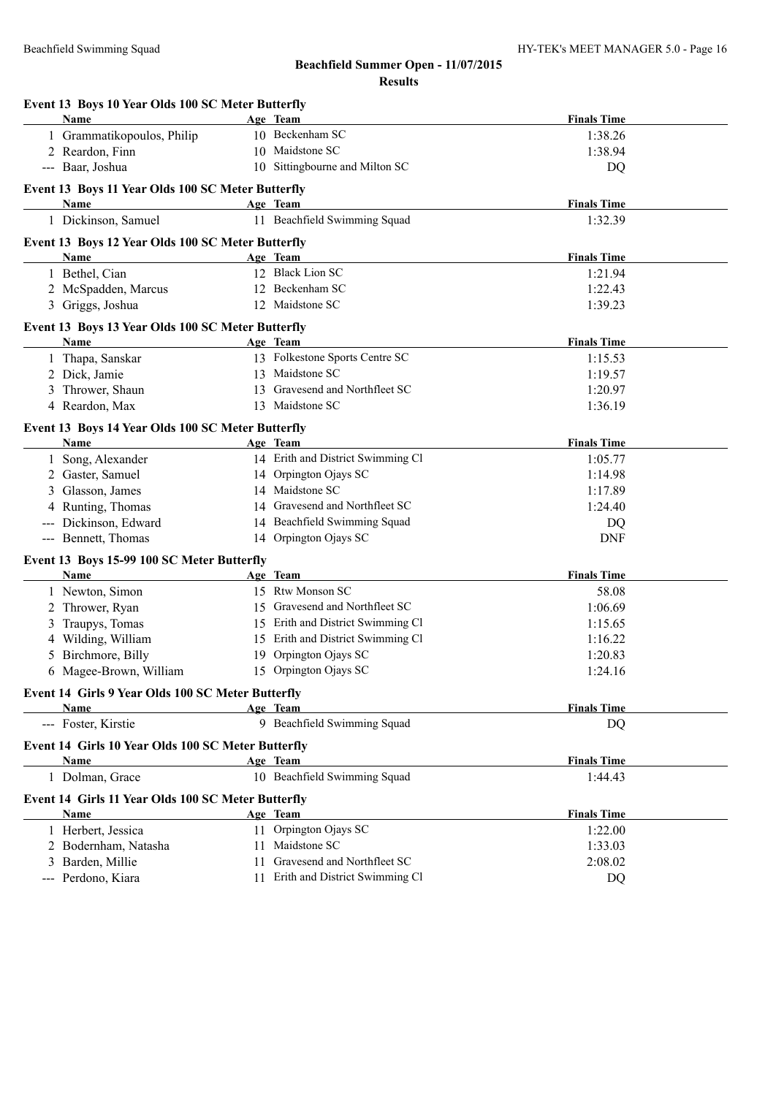## **Event 13 Boys 11 Year Olds 100 SC Meter Butterfly**

#### **Age Team Age Team** *Age Team* **<b>Finals Time** 1 Dickinson, Samuel 11 Beachfield Swimming Squad 1:32.39

# **Event 13 Boys 12 Year Olds 100 SC Meter Butterfly**

| Event 15 boys 12 year Olds Two SC Meter Butterfly<br>Name |    | Age Team                          | <b>Finals Time</b> |
|-----------------------------------------------------------|----|-----------------------------------|--------------------|
| 1 Bethel, Cian                                            |    | 12 Black Lion SC                  | 1:21.94            |
| 2 McSpadden, Marcus                                       |    | 12 Beckenham SC                   | 1:22.43            |
| 3 Griggs, Joshua                                          |    | 12 Maidstone SC                   | 1:39.23            |
| Event 13 Boys 13 Year Olds 100 SC Meter Butterfly         |    |                                   |                    |
| Name                                                      |    | Age Team                          | <b>Finals Time</b> |
| 1 Thapa, Sanskar                                          |    | 13 Folkestone Sports Centre SC    | 1:15.53            |
| 2 Dick, Jamie                                             |    | 13 Maidstone SC                   | 1:19.57            |
| 3 Thrower, Shaun                                          | 13 | Gravesend and Northfleet SC       | 1:20.97            |
| 4 Reardon, Max                                            |    | 13 Maidstone SC                   | 1:36.19            |
| Event 13 Boys 14 Year Olds 100 SC Meter Butterfly         |    |                                   |                    |
| Name                                                      |    | Age Team                          | <b>Finals Time</b> |
| 1 Song, Alexander                                         |    | 14 Erith and District Swimming Cl | 1:05.77            |
| 2 Gaster, Samuel                                          |    | 14 Orpington Ojays SC             | 1:14.98            |
| 3 Glasson, James                                          |    | 14 Maidstone SC                   | 1:17.89            |
| 4 Runting, Thomas                                         |    | 14 Gravesend and Northfleet SC    | 1:24.40            |
| --- Dickinson, Edward                                     |    | 14 Beachfield Swimming Squad      | DQ                 |
| --- Bennett, Thomas                                       |    | 14 Orpington Ojays SC             | <b>DNF</b>         |
| Event 13 Boys 15-99 100 SC Meter Butterfly                |    |                                   |                    |
| Name                                                      |    | Age Team                          | <b>Finals Time</b> |
| 1 Newton, Simon                                           |    | 15 Rtw Monson SC                  | 58.08              |
| 2 Thrower, Ryan                                           |    | 15 Gravesend and Northfleet SC    | 1:06.69            |
| 3 Traupys, Tomas                                          |    | 15 Erith and District Swimming Cl | 1:15.65            |
| 4 Wilding, William                                        |    | 15 Erith and District Swimming Cl | 1:16.22            |
| 5 Birchmore, Billy                                        |    | 19 Orpington Ojays SC             | 1:20.83            |
| 6 Magee-Brown, William                                    |    | 15 Orpington Ojays SC             | 1:24.16            |
| Event 14 Girls 9 Year Olds 100 SC Meter Butterfly         |    |                                   |                    |
| <b>Name</b>                                               |    | Age Team                          | <b>Finals Time</b> |
| --- Foster, Kirstie                                       |    | 9 Beachfield Swimming Squad       | DQ                 |
| Event 14 Girls 10 Year Olds 100 SC Meter Butterfly        |    |                                   |                    |
| <b>Name</b>                                               |    | Age Team                          | <b>Finals Time</b> |
| 1 Dolman, Grace                                           |    | 10 Beachfield Swimming Squad      | 1:44.43            |
| Event 14 Girls 11 Year Olds 100 SC Meter Butterfly        |    |                                   |                    |
| <b>Name</b>                                               |    | Age Team                          | <b>Finals Time</b> |
| 1 Herbert, Jessica                                        |    | 11 Orpington Ojays SC             | 1:22.00            |
| 2 Bodernham, Natasha                                      |    | 11 Maidstone SC                   | 1:33.03            |
| 3 Barden, Millie                                          |    | 11 Gravesend and Northfleet SC    | 2:08.02            |
|                                                           |    |                                   |                    |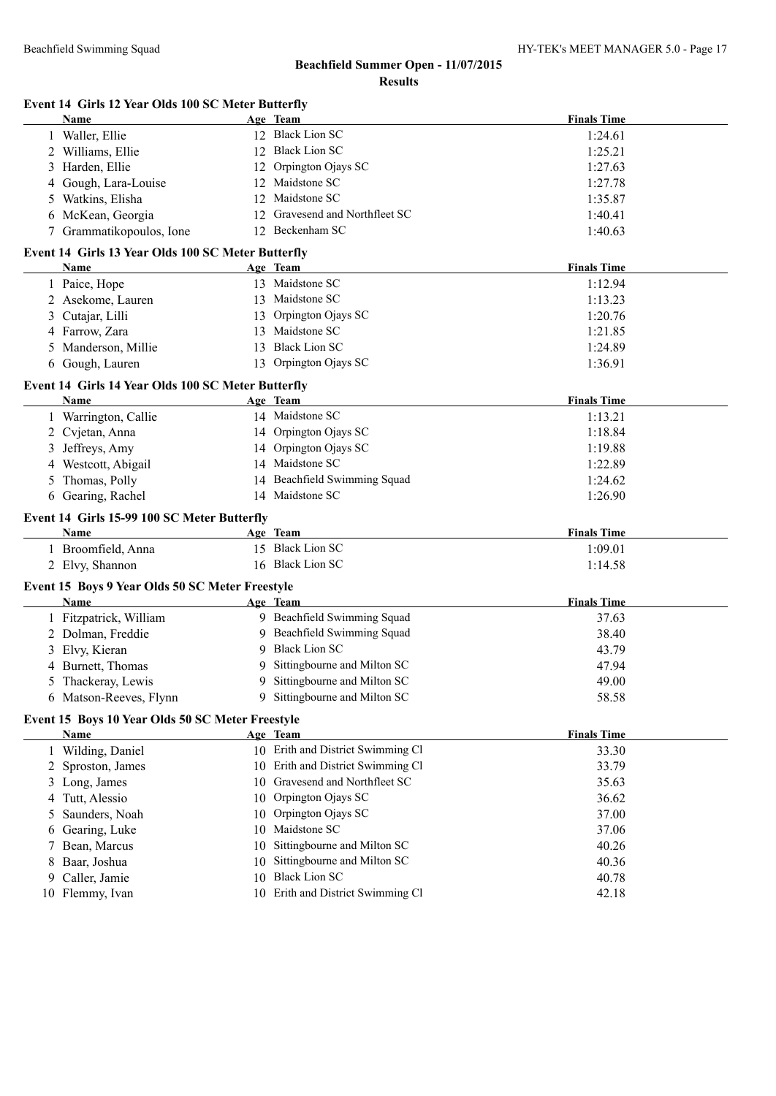|   | Event 14 Girls 12 Year Olds 100 SC Meter Butterfly      |                                                                        |                    |
|---|---------------------------------------------------------|------------------------------------------------------------------------|--------------------|
|   | <b>Name</b>                                             | Age Team                                                               | <b>Finals Time</b> |
|   | Waller, Ellie                                           | 12 Black Lion SC                                                       | 1:24.61            |
|   | 2 Williams, Ellie                                       | 12 Black Lion SC                                                       | 1:25.21            |
| 3 | Harden, Ellie                                           | 12 Orpington Ojays SC                                                  | 1:27.63            |
| 4 | Gough, Lara-Louise                                      | 12 Maidstone SC                                                        | 1:27.78            |
| 5 | Watkins, Elisha                                         | 12 Maidstone SC                                                        | 1:35.87            |
| 6 | McKean, Georgia                                         | 12 Gravesend and Northfleet SC                                         | 1:40.41            |
|   | 7 Grammatikopoulos, Ione                                | 12 Beckenham SC                                                        | 1:40.63            |
|   | Event 14 Girls 13 Year Olds 100 SC Meter Butterfly      |                                                                        |                    |
|   | Name                                                    | Age Team                                                               | <b>Finals Time</b> |
|   | 1 Paice, Hope                                           | 13 Maidstone SC                                                        | 1:12.94            |
|   | 2 Asekome, Lauren                                       | 13 Maidstone SC                                                        | 1:13.23            |
| 3 | Cutajar, Lilli                                          | 13 Orpington Ojays SC                                                  | 1:20.76            |
|   | 4 Farrow, Zara                                          | 13 Maidstone SC                                                        | 1:21.85            |
| 5 | Manderson, Millie                                       | 13 Black Lion SC                                                       | 1:24.89            |
| 6 | Gough, Lauren                                           | 13 Orpington Ojays SC                                                  | 1:36.91            |
|   | Event 14 Girls 14 Year Olds 100 SC Meter Butterfly      |                                                                        |                    |
|   | Name                                                    | Age Team                                                               | <b>Finals Time</b> |
|   | 1 Warrington, Callie                                    | 14 Maidstone SC                                                        | 1:13.21            |
|   | 2 Cvjetan, Anna                                         | 14 Orpington Ojays SC                                                  | 1:18.84            |
| 3 | Jeffreys, Amy                                           | 14 Orpington Ojays SC                                                  | 1:19.88            |
|   | 4 Westcott, Abigail                                     | 14 Maidstone SC                                                        | 1:22.89            |
| 5 | Thomas, Polly                                           | 14 Beachfield Swimming Squad                                           | 1:24.62            |
|   | 6 Gearing, Rachel                                       | 14 Maidstone SC                                                        | 1:26.90            |
|   | Event 14 Girls 15-99 100 SC Meter Butterfly             |                                                                        |                    |
|   | Name                                                    | Age Team                                                               | <b>Finals Time</b> |
|   | 1 Broomfield, Anna                                      | 15 Black Lion SC                                                       | 1:09.01            |
|   | 2 Elvy, Shannon                                         | 16 Black Lion SC                                                       | 1:14.58            |
|   |                                                         |                                                                        |                    |
|   | Event 15 Boys 9 Year Olds 50 SC Meter Freestyle<br>Name | Age Team                                                               | <b>Finals Time</b> |
|   | 1 Fitzpatrick, William                                  | 9 Beachfield Swimming Squad                                            | 37.63              |
|   | 2 Dolman, Freddie                                       | 9 Beachfield Swimming Squad                                            | 38.40              |
|   | 3 Elvy, Kieran                                          | 9 Black Lion SC                                                        | 43.79              |
|   | 4 Burnett, Thomas                                       | 9 Sittingbourne and Milton SC                                          | 47.94              |
|   | 5 Thackeray, Lewis                                      | 9 Sittingbourne and Milton SC                                          | 49.00              |
|   | 6 Matson-Reeves, Flynn                                  | 9 Sittingbourne and Milton SC                                          | 58.58              |
|   |                                                         |                                                                        |                    |
|   | Event 15 Boys 10 Year Olds 50 SC Meter Freestyle        |                                                                        |                    |
|   | <b>Name</b>                                             | Age Team                                                               | <b>Finals Time</b> |
|   | 1 Wilding, Daniel                                       | 10 Erith and District Swimming Cl<br>10 Erith and District Swimming Cl | 33.30              |
| 2 | Sproston, James                                         |                                                                        | 33.79              |
|   | 3 Long, James                                           | 10 Gravesend and Northfleet SC                                         | 35.63              |
| 4 | Tutt, Alessio                                           | 10 Orpington Ojays SC                                                  | 36.62              |
| 5 | Saunders, Noah                                          | 10 Orpington Ojays SC                                                  | 37.00              |
| 6 | Gearing, Luke                                           | 10 Maidstone SC                                                        | 37.06              |
| 7 | Bean, Marcus                                            | 10 Sittingbourne and Milton SC                                         | 40.26              |
|   | Baar, Joshua                                            | 10 Sittingbourne and Milton SC<br>10 Black Lion SC                     | 40.36              |
| 9 | Caller, Jamie                                           | 10 Erith and District Swimming Cl                                      | 40.78              |
|   | 10 Flemmy, Ivan                                         |                                                                        | 42.18              |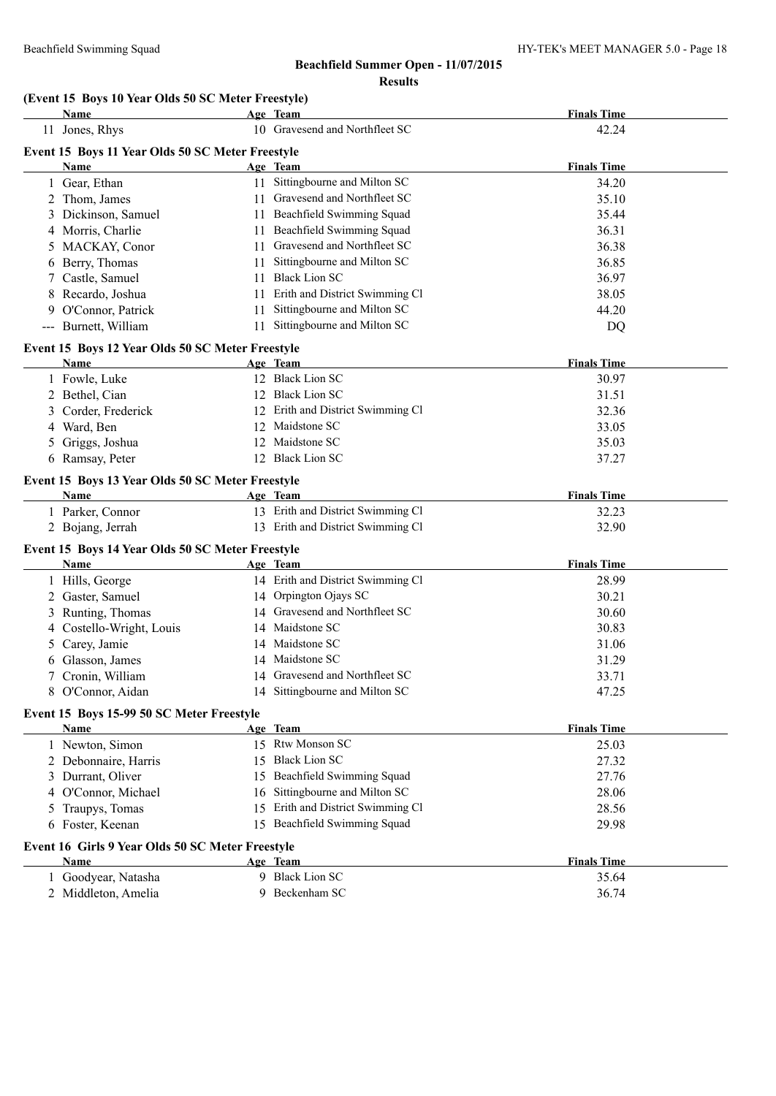#### **(Event 15 Boys 10 Year Olds 50 SC Meter Freestyle)**

|    | Name                                             |    | Age Team                          | <b>Finals Time</b> |
|----|--------------------------------------------------|----|-----------------------------------|--------------------|
|    | 11 Jones, Rhys                                   |    | 10 Gravesend and Northfleet SC    | 42.24              |
|    | Event 15 Boys 11 Year Olds 50 SC Meter Freestyle |    |                                   |                    |
|    | Name                                             |    | Age Team                          | <b>Finals Time</b> |
|    | 1 Gear, Ethan                                    |    | 11 Sittingbourne and Milton SC    | 34.20              |
|    | 2 Thom, James                                    |    | 11 Gravesend and Northfleet SC    | 35.10              |
|    | 3 Dickinson, Samuel                              |    | 11 Beachfield Swimming Squad      | 35.44              |
|    | 4 Morris, Charlie                                |    | 11 Beachfield Swimming Squad      | 36.31              |
|    | 5 MACKAY, Conor                                  |    | 11 Gravesend and Northfleet SC    | 36.38              |
| 6  | Berry, Thomas                                    | 11 | Sittingbourne and Milton SC       | 36.85              |
|    | 7 Castle, Samuel                                 | 11 | <b>Black Lion SC</b>              | 36.97              |
| 8  | Recardo, Joshua                                  | 11 | Erith and District Swimming Cl    | 38.05              |
|    | 9 O'Connor, Patrick                              | 11 | Sittingbourne and Milton SC       | 44.20              |
|    | --- Burnett, William                             | 11 | Sittingbourne and Milton SC       | DQ                 |
|    | Event 15 Boys 12 Year Olds 50 SC Meter Freestyle |    |                                   |                    |
|    | Name                                             |    | Age Team                          | <b>Finals Time</b> |
|    | 1 Fowle, Luke                                    |    | 12 Black Lion SC                  | 30.97              |
|    | 2 Bethel, Cian                                   |    | 12 Black Lion SC                  | 31.51              |
|    | 3 Corder, Frederick                              |    | 12 Erith and District Swimming Cl | 32.36              |
|    | 4 Ward, Ben                                      |    | 12 Maidstone SC                   | 33.05              |
| 5. | Griggs, Joshua                                   |    | 12 Maidstone SC                   | 35.03              |
|    | 6 Ramsay, Peter                                  |    | 12 Black Lion SC                  | 37.27              |
|    | Event 15 Boys 13 Year Olds 50 SC Meter Freestyle |    |                                   |                    |
|    | Name                                             |    | Age Team                          | <b>Finals Time</b> |
|    | 1 Parker, Connor                                 |    | 13 Erith and District Swimming Cl | 32.23              |
|    | 2 Bojang, Jerrah                                 |    | 13 Erith and District Swimming Cl | 32.90              |
|    | Event 15 Boys 14 Year Olds 50 SC Meter Freestyle |    |                                   |                    |
|    | Name                                             |    | Age Team                          | <b>Finals Time</b> |
|    | 1 Hills, George                                  |    | 14 Erith and District Swimming Cl | 28.99              |
|    | 2 Gaster, Samuel                                 |    | 14 Orpington Ojays SC             | 30.21              |
|    | 3 Runting, Thomas                                |    | 14 Gravesend and Northfleet SC    | 30.60              |
| 4  | Costello-Wright, Louis                           |    | 14 Maidstone SC                   | 30.83              |
| 5  | Carey, Jamie                                     |    | 14 Maidstone SC                   | 31.06              |
|    | 6 Glasson, James                                 |    | 14 Maidstone SC                   | 31.29              |
|    | 7 Cronin, William                                |    | 14 Gravesend and Northfleet SC    | 33.71              |
|    | 8 O'Connor, Aidan                                |    | 14 Sittingbourne and Milton SC    | 47.25              |
|    | Event 15 Boys 15-99 50 SC Meter Freestyle        |    |                                   |                    |
|    | <b>Name</b>                                      |    | Age Team                          | <b>Finals Time</b> |
|    | 1 Newton, Simon                                  |    | 15 Rtw Monson SC                  | 25.03              |
|    | 2 Debonnaire, Harris                             | 15 | <b>Black Lion SC</b>              | 27.32              |
|    | 3 Durrant, Oliver                                | 15 | Beachfield Swimming Squad         | 27.76              |
| 4  | O'Connor, Michael                                | 16 | Sittingbourne and Milton SC       | 28.06              |
| 5  | Traupys, Tomas                                   | 15 | Erith and District Swimming Cl    | 28.56              |
|    | 6 Foster, Keenan                                 |    | 15 Beachfield Swimming Squad      | 29.98              |
|    | Event 16 Girls 9 Year Olds 50 SC Meter Freestyle |    |                                   |                    |
|    | Name                                             |    | Age Team                          | <b>Finals Time</b> |
|    | 1 Goodyear, Natasha                              |    | 9 Black Lion SC                   | 35.64              |
|    | 2 Middleton, Amelia                              |    | 9 Beckenham SC                    | 36.74              |
|    |                                                  |    |                                   |                    |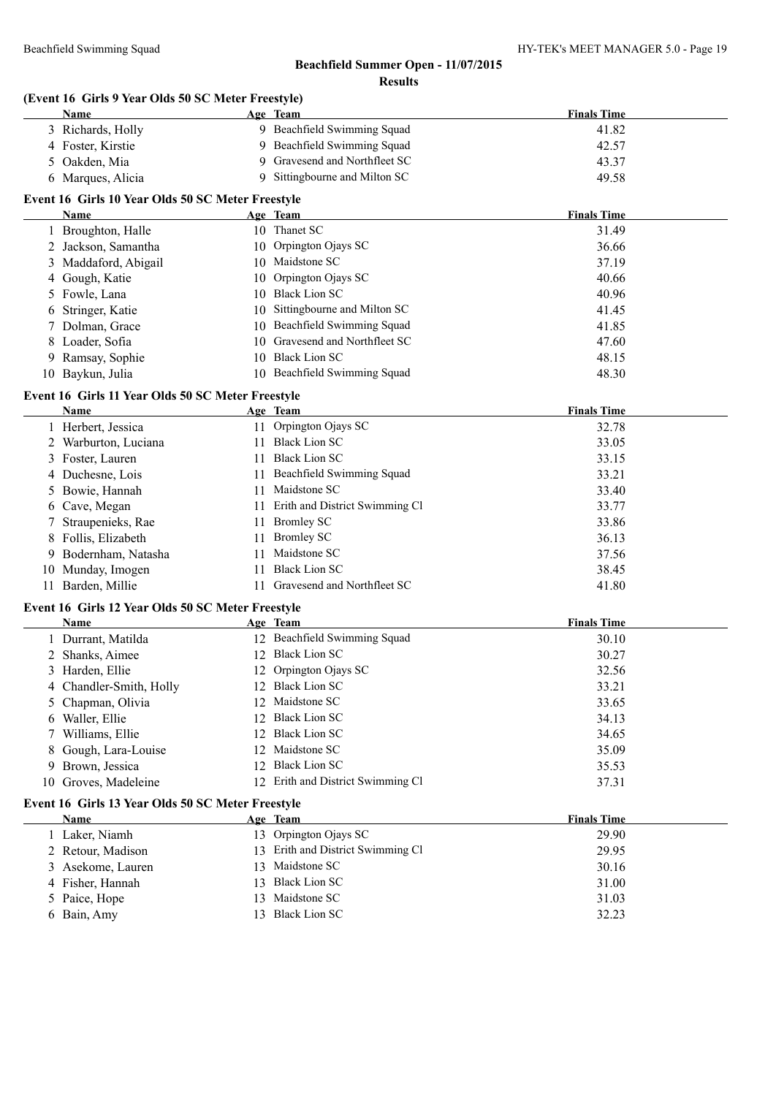## **(Event 16 Girls 9 Year Olds 50 SC Meter Freestyle)**

|   | Name                                              |    | Age Team                                     | <b>Finals Time</b> |
|---|---------------------------------------------------|----|----------------------------------------------|--------------------|
|   | 3 Richards, Holly                                 |    | 9 Beachfield Swimming Squad                  | 41.82              |
|   | 4 Foster, Kirstie                                 |    | 9 Beachfield Swimming Squad                  | 42.57              |
| 5 | Oakden, Mia                                       |    | 9 Gravesend and Northfleet SC                | 43.37              |
|   | 6 Marques, Alicia                                 |    | 9 Sittingbourne and Milton SC                | 49.58              |
|   | Event 16 Girls 10 Year Olds 50 SC Meter Freestyle |    |                                              |                    |
|   | Name                                              |    | Age Team                                     | <b>Finals Time</b> |
|   | 1 Broughton, Halle                                |    | 10 Thanet SC                                 | 31.49              |
|   | 2 Jackson, Samantha                               |    | 10 Orpington Ojays SC                        | 36.66              |
|   | 3 Maddaford, Abigail                              |    | 10 Maidstone SC                              | 37.19              |
|   | 4 Gough, Katie                                    | 10 | Orpington Ojays SC                           | 40.66              |
|   | 5 Fowle, Lana                                     |    | 10 Black Lion SC                             | 40.96              |
| 6 | Stringer, Katie                                   |    | 10 Sittingbourne and Milton SC               | 41.45              |
| 7 | Dolman, Grace                                     |    | 10 Beachfield Swimming Squad                 | 41.85              |
| 8 | Loader, Sofia                                     |    | 10 Gravesend and Northfleet SC               | 47.60              |
|   | 9 Ramsay, Sophie                                  |    | 10 Black Lion SC                             | 48.15              |
|   | 10 Baykun, Julia                                  |    | 10 Beachfield Swimming Squad                 | 48.30              |
|   | Event 16 Girls 11 Year Olds 50 SC Meter Freestyle |    |                                              |                    |
|   | Name                                              |    | Age Team                                     | <b>Finals Time</b> |
|   | 1 Herbert, Jessica                                |    | 11 Orpington Ojays SC                        | 32.78              |
|   | 2 Warburton, Luciana                              | 11 | <b>Black Lion SC</b>                         | 33.05              |
|   | 3 Foster, Lauren                                  | 11 | <b>Black Lion SC</b>                         | 33.15              |
|   | 4 Duchesne, Lois                                  | 11 | Beachfield Swimming Squad                    | 33.21              |
| 5 | Bowie, Hannah                                     | 11 | Maidstone SC                                 | 33.40              |
|   | 6 Cave, Megan                                     | 11 | Erith and District Swimming Cl               | 33.77              |
|   | Straupenieks, Rae                                 | 11 | <b>Bromley SC</b>                            | 33.86              |
| 8 | Follis, Elizabeth                                 | 11 | <b>Bromley SC</b>                            | 36.13              |
| 9 | Bodernham, Natasha                                | 11 | Maidstone SC                                 | 37.56              |
|   | 10 Munday, Imogen                                 | 11 | <b>Black Lion SC</b>                         | 38.45              |
|   | 11 Barden, Millie                                 |    | 11 Gravesend and Northfleet SC               | 41.80              |
|   |                                                   |    |                                              |                    |
|   | Event 16 Girls 12 Year Olds 50 SC Meter Freestyle |    |                                              |                    |
|   | Name                                              |    | Age Team                                     | <b>Finals Time</b> |
|   | 1 Durrant, Matilda                                |    | 12 Beachfield Swimming Squad                 | 30.10              |
| 2 | Shanks, Aimee                                     |    | 12 Black Lion SC                             | 30.27              |
|   | 3 Harden, Ellie                                   |    | 12 Orpington Ojays SC                        | 32.56              |
|   | 4 Chandler-Smith, Holly                           |    | 12 Black Lion SC                             | 33.21              |
|   | Chapman, Olivia                                   |    | 12 Maidstone SC                              | 33.65              |
|   | Waller, Ellie                                     | 12 | <b>Black Lion SC</b><br><b>Black Lion SC</b> | 34.13              |
|   | Williams, Ellie                                   | 12 |                                              | 34.65              |
| 8 | Gough, Lara-Louise                                | 12 | Maidstone SC<br>12 Black Lion SC             | 35.09              |
| 9 | Brown, Jessica                                    |    |                                              | 35.53              |
|   | 10 Groves, Madeleine                              |    | 12 Erith and District Swimming Cl            | 37.31              |
|   | Event 16 Girls 13 Year Olds 50 SC Meter Freestyle |    |                                              |                    |
|   | <b>Name</b>                                       |    | Age Team                                     | <b>Finals Time</b> |
|   | 1 Laker, Niamh                                    |    | 13 Orpington Ojays SC                        | 29.90              |
|   | 2 Retour, Madison                                 |    | 13 Erith and District Swimming Cl            | 29.95              |
| 3 | Asekome, Lauren                                   |    | 13 Maidstone SC                              | 30.16              |
| 4 | Fisher, Hannah                                    | 13 | <b>Black Lion SC</b>                         | 31.00              |
| 5 | Paice, Hope                                       | 13 | Maidstone SC                                 | 31.03              |
|   | 6 Bain, Amy                                       |    | 13 Black Lion SC                             | 32.23              |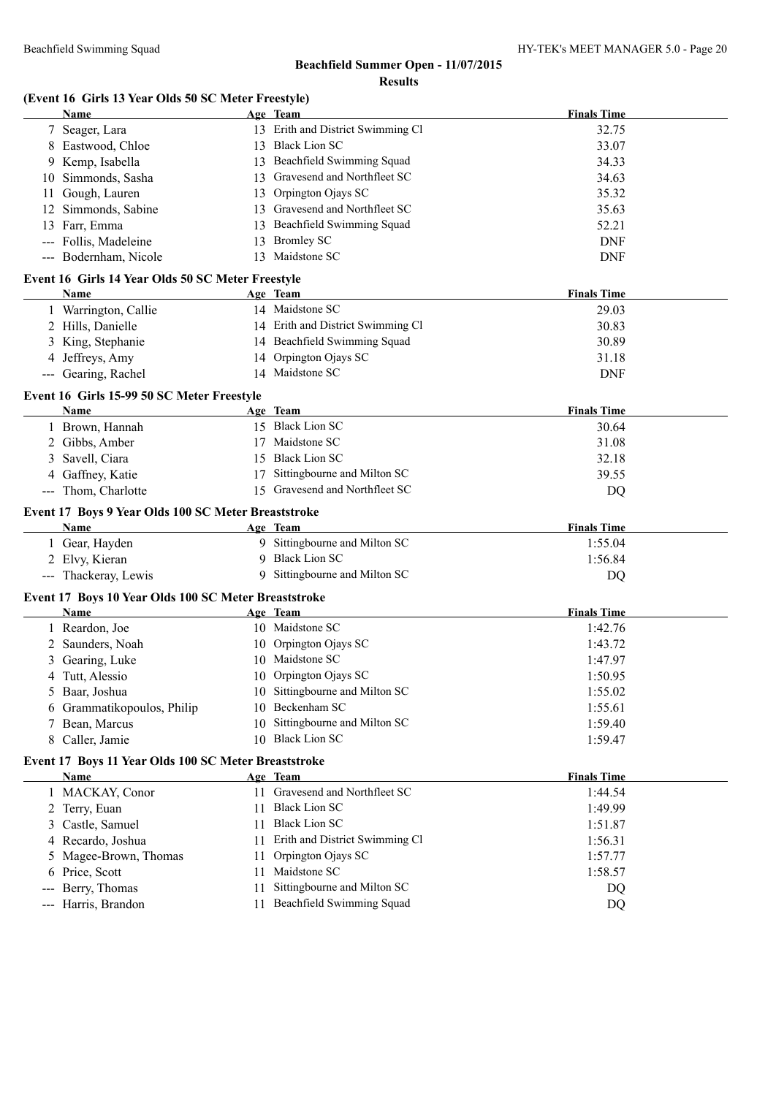#### **(Event 16 Girls 13 Year Olds 50 SC Meter Freestyle)**

|    | <b>Name</b>                                                  |    | Age Team                                                    | <b>Finals Time</b>            |
|----|--------------------------------------------------------------|----|-------------------------------------------------------------|-------------------------------|
|    | 7 Seager, Lara                                               |    | 13 Erith and District Swimming Cl                           | 32.75                         |
|    | 8 Eastwood, Chloe                                            |    | 13 Black Lion SC                                            | 33.07                         |
|    | 9 Kemp, Isabella                                             |    | 13 Beachfield Swimming Squad                                | 34.33                         |
| 10 | Simmonds, Sasha                                              |    | 13 Gravesend and Northfleet SC                              | 34.63                         |
| 11 | Gough, Lauren                                                |    | 13 Orpington Ojays SC                                       | 35.32                         |
| 12 | Simmonds, Sabine                                             |    | 13 Gravesend and Northfleet SC                              | 35.63                         |
|    | 13 Farr, Emma                                                | 13 | Beachfield Swimming Squad                                   | 52.21                         |
|    | --- Follis, Madeleine                                        | 13 | <b>Bromley SC</b>                                           | <b>DNF</b>                    |
|    | --- Bodernham, Nicole                                        |    | 13 Maidstone SC                                             | <b>DNF</b>                    |
|    | Event 16 Girls 14 Year Olds 50 SC Meter Freestyle            |    |                                                             |                               |
|    | Name                                                         |    | Age Team                                                    | <b>Finals Time</b>            |
|    | 1 Warrington, Callie                                         |    | 14 Maidstone SC                                             | 29.03                         |
|    | 2 Hills, Danielle                                            |    | 14 Erith and District Swimming Cl                           | 30.83                         |
|    | 3 King, Stephanie                                            |    | 14 Beachfield Swimming Squad                                | 30.89                         |
|    | 4 Jeffreys, Amy                                              |    | 14 Orpington Ojays SC                                       | 31.18                         |
|    | --- Gearing, Rachel                                          |    | 14 Maidstone SC                                             | <b>DNF</b>                    |
|    |                                                              |    |                                                             |                               |
|    | Event 16 Girls 15-99 50 SC Meter Freestyle                   |    |                                                             |                               |
|    | Name                                                         |    | Age Team                                                    | <b>Finals Time</b>            |
|    | 1 Brown, Hannah                                              |    | 15 Black Lion SC                                            | 30.64                         |
|    | 2 Gibbs, Amber                                               | 17 | Maidstone SC                                                | 31.08                         |
|    | 3 Savell, Ciara                                              |    | 15 Black Lion SC                                            | 32.18                         |
|    | 4 Gaffney, Katie                                             | 17 | Sittingbourne and Milton SC                                 | 39.55                         |
|    | --- Thom, Charlotte                                          |    | 15 Gravesend and Northfleet SC                              | DQ                            |
|    | Event 17 Boys 9 Year Olds 100 SC Meter Breaststroke          |    |                                                             |                               |
|    | Name                                                         |    | Age Team                                                    | <b>Finals Time</b>            |
|    | 1 Gear, Hayden                                               |    | 9 Sittingbourne and Milton SC                               | 1:55.04                       |
|    | 2 Elvy, Kieran                                               |    | 9 Black Lion SC                                             | 1:56.84                       |
|    | --- Thackeray, Lewis                                         |    | 9 Sittingbourne and Milton SC                               |                               |
|    |                                                              |    |                                                             | DQ                            |
|    |                                                              |    |                                                             |                               |
|    | Event 17 Boys 10 Year Olds 100 SC Meter Breaststroke<br>Name |    | Age Team                                                    |                               |
|    |                                                              |    | 10 Maidstone SC                                             | <b>Finals Time</b><br>1:42.76 |
|    | 1 Reardon, Joe                                               |    | 10 Orpington Ojays SC                                       |                               |
| 3  | 2 Saunders, Noah                                             |    | 10 Maidstone SC                                             | 1:43.72                       |
|    | Gearing, Luke                                                |    | 10 Orpington Ojays SC                                       | 1:47.97<br>1:50.95            |
|    | 4 Tutt, Alessio                                              |    |                                                             |                               |
|    | 5 Baar, Joshua                                               |    | 10 Sittingbourne and Milton SC<br>10 Beckenham SC           | 1:55.02                       |
|    | 6 Grammatikopoulos, Philip                                   | 10 |                                                             | 1:55.61                       |
|    | 7 Bean, Marcus                                               |    | Sittingbourne and Milton SC<br>10 Black Lion SC             | 1:59.40                       |
|    | 8 Caller, Jamie                                              |    |                                                             | 1:59.47                       |
|    | Event 17 Boys 11 Year Olds 100 SC Meter Breaststroke         |    |                                                             |                               |
|    | Name                                                         |    | Age Team                                                    | <b>Finals Time</b>            |
|    | 1 MACKAY, Conor                                              |    | 11 Gravesend and Northfleet SC                              | 1:44.54                       |
|    | 2 Terry, Euan                                                |    | 11 Black Lion SC                                            | 1:49.99                       |
|    | 3 Castle, Samuel                                             |    | 11 Black Lion SC                                            | 1:51.87                       |
|    | 4 Recardo, Joshua                                            |    | 11 Erith and District Swimming Cl                           | 1:56.31                       |
|    | 5 Magee-Brown, Thomas                                        |    | 11 Orpington Ojays SC                                       | 1:57.77                       |
| 6  | Price, Scott                                                 | 11 | Maidstone SC                                                | 1:58.57                       |
|    | Berry, Thomas<br>Harris, Brandon                             | 11 | Sittingbourne and Milton SC<br>11 Beachfield Swimming Squad | DQ<br>DQ                      |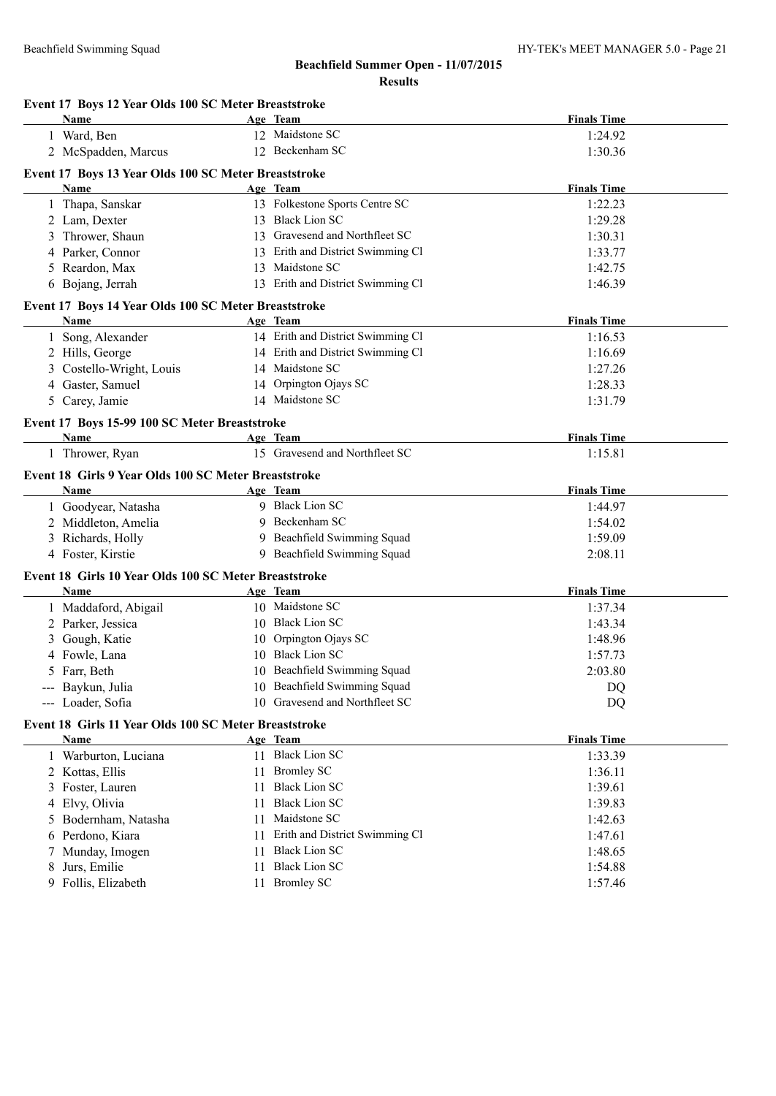|   | Event 17 Boys 12 Year Olds 100 SC Meter Breaststroke  |    |                                   |                    |  |
|---|-------------------------------------------------------|----|-----------------------------------|--------------------|--|
|   | Name                                                  |    | Age Team                          | <b>Finals Time</b> |  |
|   | 1 Ward, Ben                                           |    | 12 Maidstone SC                   | 1:24.92            |  |
|   | 2 McSpadden, Marcus                                   |    | 12 Beckenham SC                   | 1:30.36            |  |
|   | Event 17 Boys 13 Year Olds 100 SC Meter Breaststroke  |    |                                   |                    |  |
|   | Name                                                  |    | Age Team                          | <b>Finals Time</b> |  |
|   | 1 Thapa, Sanskar                                      |    | 13 Folkestone Sports Centre SC    | 1:22.23            |  |
|   | 2 Lam, Dexter                                         |    | 13 Black Lion SC                  | 1:29.28            |  |
|   | 3 Thrower, Shaun                                      |    | 13 Gravesend and Northfleet SC    | 1:30.31            |  |
|   | 4 Parker, Connor                                      |    | 13 Erith and District Swimming Cl | 1:33.77            |  |
|   | 5 Reardon, Max                                        |    | 13 Maidstone SC                   | 1:42.75            |  |
|   | 6 Bojang, Jerrah                                      |    | 13 Erith and District Swimming Cl | 1:46.39            |  |
|   | Event 17 Boys 14 Year Olds 100 SC Meter Breaststroke  |    |                                   |                    |  |
|   | Name                                                  |    | Age Team                          | <b>Finals Time</b> |  |
|   | Song, Alexander                                       |    | 14 Erith and District Swimming Cl | 1:16.53            |  |
|   | 2 Hills, George                                       |    | 14 Erith and District Swimming Cl | 1:16.69            |  |
|   | 3 Costello-Wright, Louis                              |    | 14 Maidstone SC                   | 1:27.26            |  |
|   | 4 Gaster, Samuel                                      |    | 14 Orpington Ojays SC             | 1:28.33            |  |
|   | 5 Carey, Jamie                                        |    | 14 Maidstone SC                   | 1:31.79            |  |
|   | Event 17 Boys 15-99 100 SC Meter Breaststroke         |    |                                   |                    |  |
|   | Name                                                  |    | Age Team                          | <b>Finals Time</b> |  |
|   | 1 Thrower, Ryan                                       |    | 15 Gravesend and Northfleet SC    | 1:15.81            |  |
|   | Event 18 Girls 9 Year Olds 100 SC Meter Breaststroke  |    |                                   |                    |  |
|   | <b>Name</b>                                           |    | Age Team                          | <b>Finals Time</b> |  |
|   | 1 Goodyear, Natasha                                   |    | 9 Black Lion SC                   | 1:44.97            |  |
|   | 2 Middleton, Amelia                                   |    | 9 Beckenham SC                    | 1:54.02            |  |
|   | 3 Richards, Holly                                     |    | 9 Beachfield Swimming Squad       | 1:59.09            |  |
|   | 4 Foster, Kirstie                                     |    | 9 Beachfield Swimming Squad       | 2:08.11            |  |
|   | Event 18 Girls 10 Year Olds 100 SC Meter Breaststroke |    |                                   |                    |  |
|   | Name                                                  |    | Age Team                          | <b>Finals Time</b> |  |
|   | 1 Maddaford, Abigail                                  |    | 10 Maidstone SC                   | 1:37.34            |  |
|   | 2 Parker, Jessica                                     |    | 10 Black Lion SC                  | 1:43.34            |  |
|   | 3 Gough, Katie                                        |    | 10 Orpington Ojays SC             | 1:48.96            |  |
|   | 4 Fowle, Lana                                         |    | 10 Black Lion SC                  | 1:57.73            |  |
|   | 5 Farr, Beth                                          |    | 10 Beachfield Swimming Squad      | 2:03.80            |  |
|   | --- Baykun, Julia                                     |    | 10 Beachfield Swimming Squad      | DQ                 |  |
|   | --- Loader, Sofia                                     |    | 10 Gravesend and Northfleet SC    | DQ                 |  |
|   | Event 18 Girls 11 Year Olds 100 SC Meter Breaststroke |    |                                   |                    |  |
|   | Name                                                  |    | Age Team                          | <b>Finals Time</b> |  |
|   | 1 Warburton, Luciana                                  |    | 11 Black Lion SC                  | 1:33.39            |  |
|   | 2 Kottas, Ellis                                       |    | 11 Bromley SC                     | 1:36.11            |  |
|   | 3 Foster, Lauren                                      | 11 | <b>Black Lion SC</b>              | 1:39.61            |  |
|   | 4 Elvy, Olivia                                        | 11 | <b>Black Lion SC</b>              | 1:39.83            |  |
|   | 5 Bodernham, Natasha                                  | 11 | Maidstone SC                      | 1:42.63            |  |
|   | 6 Perdono, Kiara                                      | 11 | Erith and District Swimming Cl    | 1:47.61            |  |
|   | 7 Munday, Imogen                                      | 11 | <b>Black Lion SC</b>              | 1:48.65            |  |
| 8 | Jurs, Emilie                                          | 11 | <b>Black Lion SC</b>              | 1:54.88            |  |
|   | 9 Follis, Elizabeth                                   |    | 11 Bromley SC                     | 1:57.46            |  |